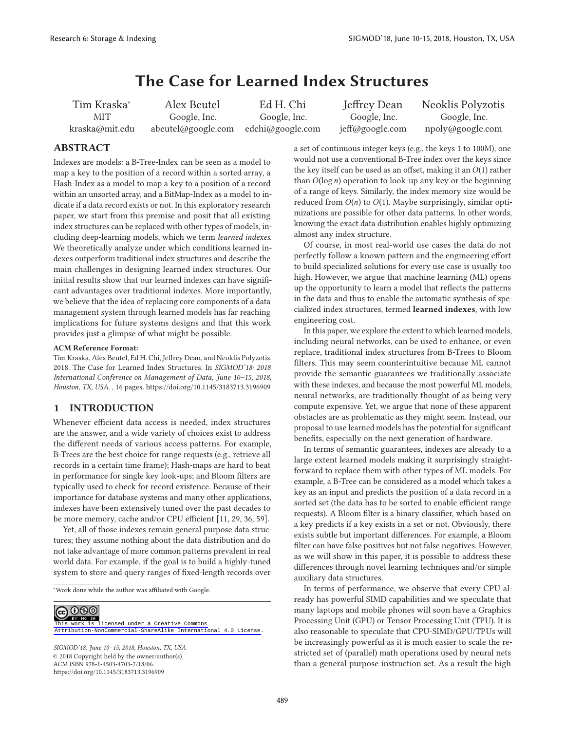# **The Case for Learned Index Structures**

Tim Kraska∗ MIT kraska@mit.edu Alex Beutel Google, Inc.

abeutel@google.com

Ed H. Chi Google, Inc. edchi@google.com

Jeffrey Dean Google, Inc. jeff@google.com Neoklis Polyzotis Google, Inc. npoly@google.com

# **ABSTRACT**

Indexes are models: a B-Tree-Index can be seen as a model to map a key to the position of a record within a sorted array, a Hash-Index as a model to map a key to a position of a record within an unsorted array, and a BitMap-Index as a model to indicate if a data record exists or not. In this exploratory research paper, we start from this premise and posit that all existing index structures can be replaced with other types of models, including deep-learning models, which we term *learned indexes*. We theoretically analyze under which conditions learned indexes outperform traditional index structures and describe the main challenges in designing learned index structures. Our initial results show that our learned indexes can have significant advantages over traditional indexes. More importantly, we believe that the idea of replacing core components of a data management system through learned models has far reaching implications for future systems designs and that this work provides just a glimpse of what might be possible.

#### **ACM Reference Format:**

Tim Kraska, Alex Beutel, Ed H. Chi, Jeffrey Dean, and Neoklis Polyzotis. 2018. The Case for Learned Index Structures. In *SIGMOD'18: 2018 International Conference on Management of Data, June 10–15, 2018, Houston, TX, USA.* , 16 pages. https://doi.org/10.1145/3183713.3196909

# **1 INTRODUCTION**

Whenever efficient data access is needed, index structures are the answer, and a wide variety of choices exist to address the different needs of various access patterns. For example, B-Trees are the best choice for range requests (e.g., retrieve all records in a certain time frame); Hash-maps are hard to beat in performance for single key look-ups; and Bloom filters are typically used to check for record existence. Because of their importance for database systems and many other applications, indexes have been extensively tuned over the past decades to be more memory, cache and/or CPU efficient [11, 29, 36, 59].

Yet, all of those indexes remain general purpose data structures; they assume nothing about the data distribution and do not take advantage of more common patterns prevalent in real world data. For example, if the goal is to build a highly-tuned system to store and query ranges of fixed-length records over

∗ Work done while the author was affiliated with Google.



[This work is licensed under a Creative Commons](https://creativecommons.org/licenses/by-nc-sa/4.0/)  [Attribution-NonCommercial-ShareAlike International 4.0 License.](https://creativecommons.org/licenses/by-nc-sa/4.0/)

*SIGMOD'18, June 10–15, 2018, Houston, TX, USA* © 2018 Copyright held by the owner/author(s). ACM ISBN 978-1-4503-4703-7/18/06. https://doi.org/10.1145/3183713.3196909

a set of continuous integer keys (e.g., the keys 1 to 100M), one would not use a conventional B-Tree index over the keys since the key itself can be used as an offset, making it an  $O(1)$  rather than  $O(\log n)$  operation to look-up any key or the beginning of a range of keys. Similarly, the index memory size would be reduced from  $O(n)$  to  $O(1)$ . Maybe surprisingly, similar optimizations are possible for other data patterns. In other words, knowing the exact data distribution enables highly optimizing almost any index structure.

Of course, in most real-world use cases the data do not perfectly follow a known pattern and the engineering effort to build specialized solutions for every use case is usually too high. However, we argue that machine learning (ML) opens up the opportunity to learn a model that reflects the patterns in the data and thus to enable the automatic synthesis of specialized index structures, termed **learned indexes**, with low engineering cost.

In this paper, we explore the extent to which learned models, including neural networks, can be used to enhance, or even replace, traditional index structures from B-Trees to Bloom filters. This may seem counterintuitive because ML cannot provide the semantic guarantees we traditionally associate with these indexes, and because the most powerful ML models, neural networks, are traditionally thought of as being very compute expensive. Yet, we argue that none of these apparent obstacles are as problematic as they might seem. Instead, our proposal to use learned models has the potential for significant benefits, especially on the next generation of hardware.

In terms of semantic guarantees, indexes are already to a large extent learned models making it surprisingly straightforward to replace them with other types of ML models. For example, a B-Tree can be considered as a model which takes a key as an input and predicts the position of a data record in a sorted set (the data has to be sorted to enable efficient range requests). A Bloom filter is a binary classifier, which based on a key predicts if a key exists in a set or not. Obviously, there exists subtle but important differences. For example, a Bloom filter can have false positives but not false negatives. However, as we will show in this paper, it is possible to address these differences through novel learning techniques and/or simple auxiliary data structures.

In terms of performance, we observe that every CPU already has powerful SIMD capabilities and we speculate that many laptops and mobile phones will soon have a Graphics Processing Unit (GPU) or Tensor Processing Unit (TPU). It is also reasonable to speculate that CPU-SIMD/GPU/TPUs will be increasingly powerful as it is much easier to scale the restricted set of (parallel) math operations used by neural nets than a general purpose instruction set. As a result the high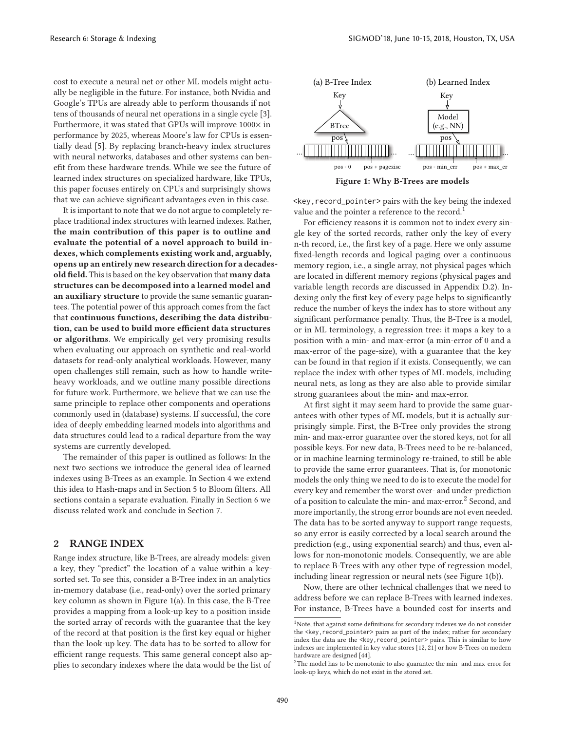cost to execute a neural net or other ML models might actually be negligible in the future. For instance, both Nvidia and Google's TPUs are already able to perform thousands if not tens of thousands of neural net operations in a single cycle [3]. Furthermore, it was stated that GPUs will improve 1000 $\times$  in performance by 2025, whereas Moore's law for CPUs is essentially dead [5]. By replacing branch-heavy index structures with neural networks, databases and other systems can benefit from these hardware trends. While we see the future of learned index structures on specialized hardware, like TPUs, this paper focuses entirely on CPUs and surprisingly shows that we can achieve significant advantages even in this case.

It is important to note that we do not argue to completely replace traditional index structures with learned indexes. Rather, **the main contribution of this paper is to outline and evaluate the potential of a novel approach to build indexes, which complements existing work and, arguably, opens up an entirely new research direction for a decadesold field.** This is based on the key observation that **many data structures can be decomposed into a learned model and an auxiliary structure** to provide the same semantic guarantees. The potential power of this approach comes from the fact that **continuous functions, describing the data distribution, can be used to build more efficient data structures or algorithms**. We empirically get very promising results when evaluating our approach on synthetic and real-world datasets for read-only analytical workloads. However, many open challenges still remain, such as how to handle writeheavy workloads, and we outline many possible directions for future work. Furthermore, we believe that we can use the same principle to replace other components and operations commonly used in (database) systems. If successful, the core idea of deeply embedding learned models into algorithms and data structures could lead to a radical departure from the way systems are currently developed.

The remainder of this paper is outlined as follows: In the next two sections we introduce the general idea of learned indexes using B-Trees as an example. In Section 4 we extend this idea to Hash-maps and in Section 5 to Bloom filters. All sections contain a separate evaluation. Finally in Section 6 we discuss related work and conclude in Section 7.

## **2 RANGE INDEX**

Range index structure, like B-Trees, are already models: given a key, they "predict" the location of a value within a keysorted set. To see this, consider a B-Tree index in an analytics in-memory database (i.e., read-only) over the sorted primary key column as shown in Figure 1(a). In this case, the B-Tree provides a mapping from a look-up key to a position inside the sorted array of records with the guarantee that the key of the record at that position is the first key equal or higher than the look-up key. The data has to be sorted to allow for efficient range requests. This same general concept also applies to secondary indexes where the data would be the list of



<key,record\_pointer> pairs with the key being the indexed value and the pointer a reference to the record.<sup>1</sup>

For efficiency reasons it is common not to index every single key of the sorted records, rather only the key of every n-th record, i.e., the first key of a page. Here we only assume fixed-length records and logical paging over a continuous memory region, i.e., a single array, not physical pages which are located in different memory regions (physical pages and variable length records are discussed in Appendix D.2). Indexing only the first key of every page helps to significantly reduce the number of keys the index has to store without any significant performance penalty. Thus, the B-Tree is a model, or in ML terminology, a regression tree: it maps a key to a position with a min- and max-error (a min-error of 0 and a max-error of the page-size), with a guarantee that the key can be found in that region if it exists. Consequently, we can replace the index with other types of ML models, including neural nets, as long as they are also able to provide similar strong guarantees about the min- and max-error.

At first sight it may seem hard to provide the same guarantees with other types of ML models, but it is actually surprisingly simple. First, the B-Tree only provides the strong min- and max-error guarantee over the stored keys, not for all possible keys. For new data, B-Trees need to be re-balanced, or in machine learning terminology re-trained, to still be able to provide the same error guarantees. That is, for monotonic models the only thing we need to do is to execute the model for every key and remember the worst over- and under-prediction of a position to calculate the min- and max-error.<sup>2</sup> Second, and more importantly, the strong error bounds are not even needed. The data has to be sorted anyway to support range requests, so any error is easily corrected by a local search around the prediction (e.g., using exponential search) and thus, even allows for non-monotonic models. Consequently, we are able to replace B-Trees with any other type of regression model, including linear regression or neural nets (see Figure 1(b)).

Now, there are other technical challenges that we need to address before we can replace B-Trees with learned indexes. For instance, B-Trees have a bounded cost for inserts and

<sup>&</sup>lt;sup>1</sup>Note, that against some definitions for secondary indexes we do not consider the <key, record\_pointer> pairs as part of the index; rather for secondary index the data are the <key, record\_pointer> pairs. This is similar to how indexes are implemented in key value stores [12, 21] or how B-Trees on modern hardware are designed [44].

<sup>&</sup>lt;sup>2</sup>The model has to be monotonic to also guarantee the min- and max-error for look-up keys, which do not exist in the stored set.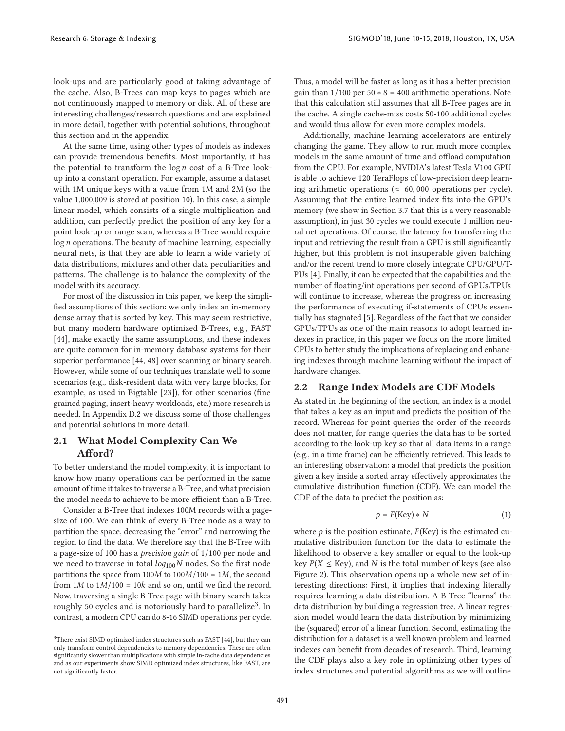look-ups and are particularly good at taking advantage of the cache. Also, B-Trees can map keys to pages which are not continuously mapped to memory or disk. All of these are interesting challenges/research questions and are explained in more detail, together with potential solutions, throughout this section and in the appendix.

At the same time, using other types of models as indexes can provide tremendous benefits. Most importantly, it has the potential to transform the  $\log n$  cost of a B-Tree lookup into a constant operation. For example, assume a dataset with 1M unique keys with a value from 1M and 2M (so the value 1,000,009 is stored at position 10). In this case, a simple linear model, which consists of a single multiplication and addition, can perfectly predict the position of any key for a point look-up or range scan, whereas a B-Tree would require  $log n$  operations. The beauty of machine learning, especially neural nets, is that they are able to learn a wide variety of data distributions, mixtures and other data peculiarities and patterns. The challenge is to balance the complexity of the model with its accuracy.

For most of the discussion in this paper, we keep the simplified assumptions of this section: we only index an in-memory dense array that is sorted by key. This may seem restrictive, but many modern hardware optimized B-Trees, e.g., FAST [44], make exactly the same assumptions, and these indexes are quite common for in-memory database systems for their superior performance [44, 48] over scanning or binary search. However, while some of our techniques translate well to some scenarios (e.g., disk-resident data with very large blocks, for example, as used in Bigtable [23]), for other scenarios (fine grained paging, insert-heavy workloads, etc.) more research is needed. In Appendix D.2 we discuss some of those challenges and potential solutions in more detail.

# **2.1 What Model Complexity Can We Afford?**

To better understand the model complexity, it is important to know how many operations can be performed in the same amount of time it takes to traverse a B-Tree, and what precision the model needs to achieve to be more efficient than a B-Tree.

Consider a B-Tree that indexes 100M records with a pagesize of 100. We can think of every B-Tree node as a way to partition the space, decreasing the "error" and narrowing the region to find the data. We therefore say that the B-Tree with a page-size of 100 has a *precision gain* of 1/100 per node and we need to traverse in total  $log_{100}N$  nodes. So the first node partitions the space from 100M to  $100M/100 = 1M$ , the second from  $1M$  to  $1M/100 = 10k$  and so on, until we find the record. Now, traversing a single B-Tree page with binary search takes roughly 50 cycles and is notoriously hard to parallelize<sup>3</sup>. In contrast, a modern CPU can do 8-16 SIMD operations per cycle. Thus, a model will be faster as long as it has a better precision gain than  $1/100$  per  $50 * 8 = 400$  arithmetic operations. Note that this calculation still assumes that all B-Tree pages are in the cache. A single cache-miss costs 50-100 additional cycles and would thus allow for even more complex models.

Additionally, machine learning accelerators are entirely changing the game. They allow to run much more complex models in the same amount of time and offload computation from the CPU. For example, NVIDIA's latest Tesla V100 GPU is able to achieve 120 TeraFlops of low-precision deep learning arithmetic operations ( $\approx 60,000$  operations per cycle). Assuming that the entire learned index fits into the GPU's memory (we show in Section 3.7 that this is a very reasonable assumption), in just 30 cycles we could execute 1 million neural net operations. Of course, the latency for transferring the input and retrieving the result from a GPU is still significantly higher, but this problem is not insuperable given batching and/or the recent trend to more closely integrate CPU/GPU/T-PUs [4]. Finally, it can be expected that the capabilities and the number of floating/int operations per second of GPUs/TPUs will continue to increase, whereas the progress on increasing the performance of executing if-statements of CPUs essentially has stagnated [5]. Regardless of the fact that we consider GPUs/TPUs as one of the main reasons to adopt learned indexes in practice, in this paper we focus on the more limited CPUs to better study the implications of replacing and enhancing indexes through machine learning without the impact of hardware changes.

#### **2.2 Range Index Models are CDF Models**

As stated in the beginning of the section, an index is a model that takes a key as an input and predicts the position of the record. Whereas for point queries the order of the records does not matter, for range queries the data has to be sorted according to the look-up key so that all data items in a range (e.g., in a time frame) can be efficiently retrieved. This leads to an interesting observation: a model that predicts the position given a key inside a sorted array effectively approximates the cumulative distribution function (CDF). We can model the CDF of the data to predict the position as:

$$
p = F(\text{Key}) * N \tag{1}
$$

where  $p$  is the position estimate,  $F$ (Key) is the estimated cumulative distribution function for the data to estimate the likelihood to observe a key smaller or equal to the look-up key  $P(X \le \text{Key})$ , and N is the total number of keys (see also Figure 2). This observation opens up a whole new set of interesting directions: First, it implies that indexing literally requires learning a data distribution. A B-Tree "learns" the data distribution by building a regression tree. A linear regression model would learn the data distribution by minimizing the (squared) error of a linear function. Second, estimating the distribution for a dataset is a well known problem and learned indexes can benefit from decades of research. Third, learning the CDF plays also a key role in optimizing other types of index structures and potential algorithms as we will outline

 $^3\rm{There}$  exist SIMD optimized index structures such as FAST [44], but they can only transform control dependencies to memory dependencies. These are often significantly slower than multiplications with simple in-cache data dependencies and as our experiments show SIMD optimized index structures, like FAST, are not significantly faster.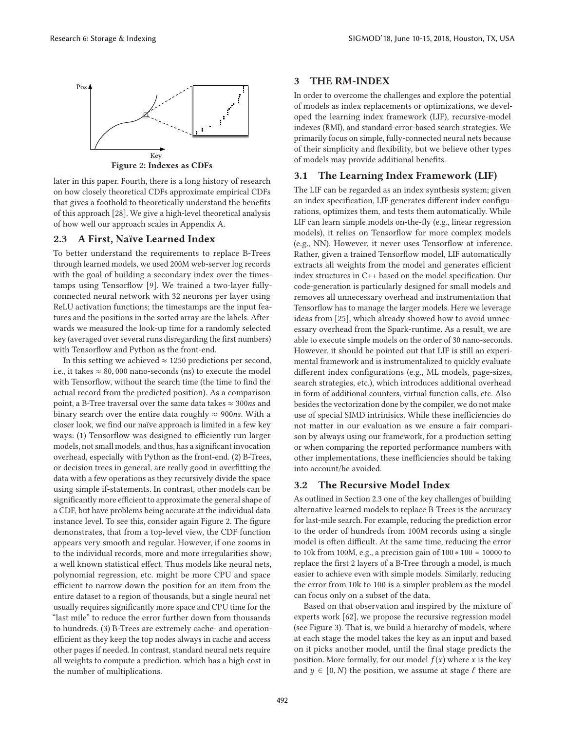

later in this paper. Fourth, there is a long history of research on how closely theoretical CDFs approximate empirical CDFs that gives a foothold to theoretically understand the benefits of this approach [28]. We give a high-level theoretical analysis of how well our approach scales in Appendix A.

## **2.3 A First, Naïve Learned Index**

To better understand the requirements to replace B-Trees through learned models, we used 200M web-server log records with the goal of building a secondary index over the timestamps using Tensorflow [9]. We trained a two-layer fullyconnected neural network with 32 neurons per layer using ReLU activation functions; the timestamps are the input features and the positions in the sorted array are the labels. Afterwards we measured the look-up time for a randomly selected key (averaged over several runs disregarding the first numbers) with Tensorflow and Python as the front-end.

In this setting we achieved  $\approx$  1250 predictions per second, i.e., it takes  $\approx 80,000$  nano-seconds (ns) to execute the model with Tensorflow, without the search time (the time to find the actual record from the predicted position). As a comparison point, a B-Tree traversal over the same data takes  $\approx$  300ns and binary search over the entire data roughly  $\approx$  900ns. With a closer look, we find our naïve approach is limited in a few key ways: (1) Tensorflow was designed to efficiently run larger models, not small models, and thus, has a significant invocation overhead, especially with Python as the front-end. (2) B-Trees, or decision trees in general, are really good in overfitting the data with a few operations as they recursively divide the space using simple if-statements. In contrast, other models can be significantly more efficient to approximate the general shape of a CDF, but have problems being accurate at the individual data instance level. To see this, consider again Figure 2. The figure demonstrates, that from a top-level view, the CDF function appears very smooth and regular. However, if one zooms in to the individual records, more and more irregularities show; a well known statistical effect. Thus models like neural nets, polynomial regression, etc. might be more CPU and space efficient to narrow down the position for an item from the entire dataset to a region of thousands, but a single neural net usually requires significantly more space and CPU time for the "last mile" to reduce the error further down from thousands to hundreds. (3) B-Trees are extremely cache- and operationefficient as they keep the top nodes always in cache and access other pages if needed. In contrast, standard neural nets require all weights to compute a prediction, which has a high cost in the number of multiplications.

# **3 THE RM-INDEX**

In order to overcome the challenges and explore the potential of models as index replacements or optimizations, we developed the learning index framework (LIF), recursive-model indexes (RMI), and standard-error-based search strategies. We primarily focus on simple, fully-connected neural nets because of their simplicity and flexibility, but we believe other types of models may provide additional benefits.

## **3.1 The Learning Index Framework (LIF)**

The LIF can be regarded as an index synthesis system; given an index specification, LIF generates different index configurations, optimizes them, and tests them automatically. While LIF can learn simple models on-the-fly (e.g., linear regression models), it relies on Tensorflow for more complex models (e.g., NN). However, it never uses Tensorflow at inference. Rather, given a trained Tensorflow model, LIF automatically extracts all weights from the model and generates efficient index structures in C++ based on the model specification. Our code-generation is particularly designed for small models and removes all unnecessary overhead and instrumentation that Tensorflow has to manage the larger models. Here we leverage ideas from [25], which already showed how to avoid unnecessary overhead from the Spark-runtime. As a result, we are able to execute simple models on the order of 30 nano-seconds. However, it should be pointed out that LIF is still an experimental framework and is instrumentalized to quickly evaluate different index configurations (e.g., ML models, page-sizes, search strategies, etc.), which introduces additional overhead in form of additional counters, virtual function calls, etc. Also besides the vectorization done by the compiler, we do not make use of special SIMD intrinisics. While these inefficiencies do not matter in our evaluation as we ensure a fair comparison by always using our framework, for a production setting or when comparing the reported performance numbers with other implementations, these inefficiencies should be taking into account/be avoided.

# **3.2 The Recursive Model Index**

As outlined in Section 2.3 one of the key challenges of building alternative learned models to replace B-Trees is the accuracy for last-mile search. For example, reducing the prediction error to the order of hundreds from 100M records using a single model is often difficult. At the same time, reducing the error to 10k from 100M, e.g., a precision gain of  $100 * 100 = 10000$  to replace the first 2 layers of a B-Tree through a model, is much easier to achieve even with simple models. Similarly, reducing the error from 10k to 100 is a simpler problem as the model can focus only on a subset of the data.

Based on that observation and inspired by the mixture of experts work [62], we propose the recursive regression model (see Figure 3). That is, we build a hierarchy of models, where at each stage the model takes the key as an input and based on it picks another model, until the final stage predicts the position. More formally, for our model  $f(x)$  where x is the key and  $y \in [0, N)$  the position, we assume at stage  $\ell$  there are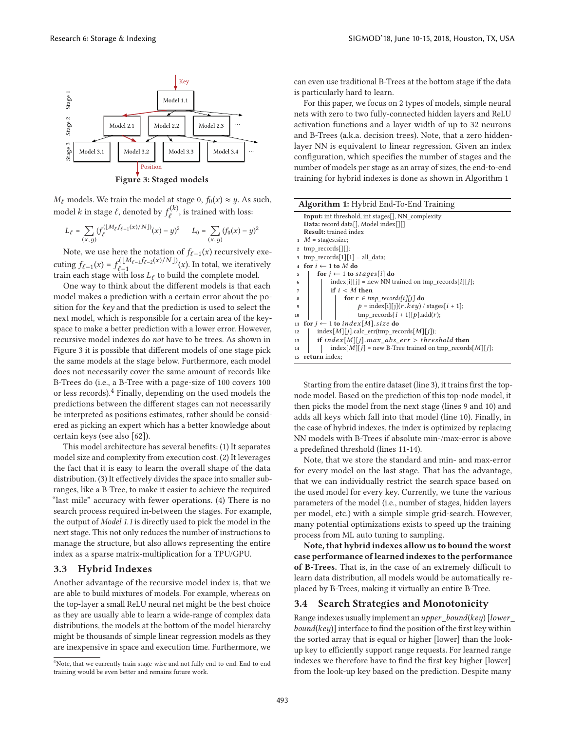

**Figure 3: Staged models**

 $M_{\ell}$  models. We train the model at stage 0,  $f_0(x) \approx y$ . As such, model k in stage  $\ell$ , denoted by  $f_{\ell}^{(k)}$ , is trained with loss:

$$
L_{\ell} = \sum_{(x, y)} (f_{\ell}^{(\lfloor M_{\ell}f_{\ell-1}(x)/N \rfloor)}(x) - y)^2 \qquad L_0 = \sum_{(x, y)} (f_0(x) - y)^2
$$

Note, we use here the notation of  $f_{\ell-1}(x)$  recursively executing  $f_{\ell-1}(x) = f_{\ell-1}^{(\lfloor M_{\ell-1}f_{\ell-2}(x)/N \rfloor)}(x)$ . In total, we iteratively train each stage with loss  $L_{\ell}$  to build the complete model.

One way to think about the different models is that each model makes a prediction with a certain error about the position for the *key* and that the prediction is used to select the next model, which is responsible for a certain area of the keyspace to make a better prediction with a lower error. However, recursive model indexes do *not* have to be trees. As shown in Figure 3 it is possible that different models of one stage pick the same models at the stage below. Furthermore, each model does not necessarily cover the same amount of records like B-Trees do (i.e., a B-Tree with a page-size of 100 covers 100 or less records).4 Finally, depending on the used models the predictions between the different stages can not necessarily be interpreted as positions estimates, rather should be considered as picking an expert which has a better knowledge about certain keys (see also [62]).

This model architecture has several benefits: (1) It separates model size and complexity from execution cost. (2) It leverages the fact that it is easy to learn the overall shape of the data distribution. (3) It effectively divides the space into smaller subranges, like a B-Tree, to make it easier to achieve the required "last mile" accuracy with fewer operations. (4) There is no search process required in-between the stages. For example, the output of *Model 1.1* is directly used to pick the model in the next stage. This not only reduces the number of instructions to manage the structure, but also allows representing the entire index as a sparse matrix-multiplication for a TPU/GPU.

#### **3.3 Hybrid Indexes**

Another advantage of the recursive model index is, that we are able to build mixtures of models. For example, whereas on the top-layer a small ReLU neural net might be the best choice as they are usually able to learn a wide-range of complex data distributions, the models at the bottom of the model hierarchy might be thousands of simple linear regression models as they are inexpensive in space and execution time. Furthermore, we

4Note, that we currently train stage-wise and not fully end-to-end. End-to-end training would be even better and remains future work.

can even use traditional B-Trees at the bottom stage if the data is particularly hard to learn.

For this paper, we focus on 2 types of models, simple neural nets with zero to two fully-connected hidden layers and ReLU activation functions and a layer width of up to 32 neurons and B-Trees (a.k.a. decision trees). Note, that a zero hiddenlayer NN is equivalent to linear regression. Given an index configuration, which specifies the number of stages and the number of models per stage as an array of sizes, the end-to-end training for hybrid indexes is done as shown in Algorithm 1

| <b>Algorithm 1:</b> Hybrid End-To-End Training                        |  |  |  |  |  |
|-----------------------------------------------------------------------|--|--|--|--|--|
| <b>Input:</b> int threshold, int stages <sup>[]</sup> , NN complexity |  |  |  |  |  |
| Data: record data[], Model index[][]                                  |  |  |  |  |  |
| <b>Result:</b> trained index                                          |  |  |  |  |  |
| $1$ $M$ = stages size;                                                |  |  |  |  |  |
| tmp records[]<br>$\boldsymbol{2}$                                     |  |  |  |  |  |
| tmp records[1][1] = all data;                                         |  |  |  |  |  |
| for $i \leftarrow 1$ to M do                                          |  |  |  |  |  |
| for $i \leftarrow 1$ to stages [i] do<br>5                            |  |  |  |  |  |
| $index[i][j] = new NN trained on tmp records[i][j];$<br>6             |  |  |  |  |  |
| if $i < M$ then<br>$\overline{7}$                                     |  |  |  |  |  |
| for $r \in \text{tmp\_records}[i][j]$ do<br>8                         |  |  |  |  |  |
| $p = \text{index}[i][j](r \cdot key) / \text{stages}[i + 1];$<br>9    |  |  |  |  |  |
| tmp_records[ $i + 1$ ][ $p$ ].add( $r$ );<br>10                       |  |  |  |  |  |
| for $i \leftarrow 1$ to index[M] size do<br>11                        |  |  |  |  |  |
| index $[M][j]$ .calc err(tmp records $[M][j]$ );<br>12                |  |  |  |  |  |
| if index[M][j].max abs err > threshold then<br>13                     |  |  |  |  |  |
| $index[M][j] = new B-Tree trained on tmp records[M][j];$<br>14        |  |  |  |  |  |
| 15 return index;                                                      |  |  |  |  |  |

Starting from the entire dataset (line 3), it trains first the topnode model. Based on the prediction of this top-node model, it then picks the model from the next stage (lines 9 and 10) and adds all keys which fall into that model (line 10). Finally, in the case of hybrid indexes, the index is optimized by replacing NN models with B-Trees if absolute min-/max-error is above a predefined threshold (lines 11-14).

Note, that we store the standard and min- and max-error for every model on the last stage. That has the advantage, that we can individually restrict the search space based on the used model for every key. Currently, we tune the various parameters of the model (i.e., number of stages, hidden layers per model, etc.) with a simple simple grid-search. However, many potential optimizations exists to speed up the training process from ML auto tuning to sampling.

**Note, that hybrid indexes allow us to bound the worst case performance of learned indexes to the performance of B-Trees.** That is, in the case of an extremely difficult to learn data distribution, all models would be automatically replaced by B-Trees, making it virtually an entire B-Tree.

#### **3.4 Search Strategies and Monotonicity**

Range indexes usually implement an *upper\_bound(key)*  $[lower_$  $bound(key)]$  interface to find the position of the first key within the sorted array that is equal or higher [lower] than the lookup key to efficiently support range requests. For learned range indexes we therefore have to find the first key higher [lower] from the look-up key based on the prediction. Despite many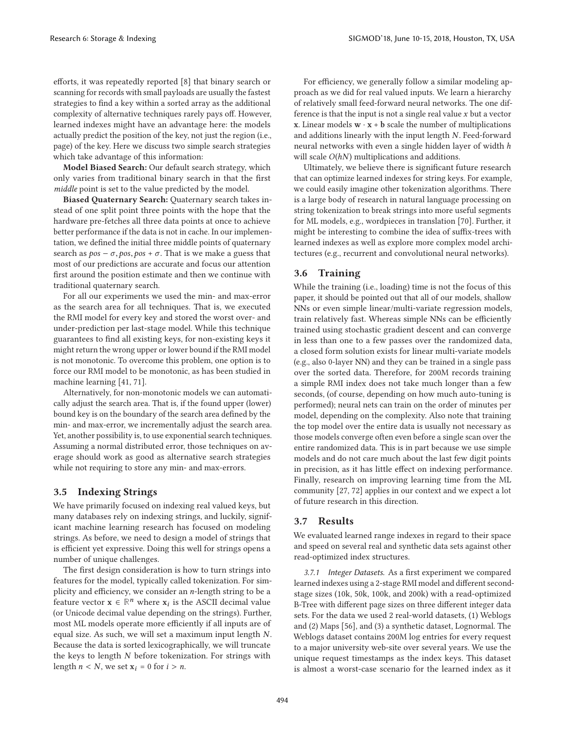efforts, it was repeatedly reported [8] that binary search or scanning for records with small payloads are usually the fastest strategies to find a key within a sorted array as the additional complexity of alternative techniques rarely pays off. However, learned indexes might have an advantage here: the models actually predict the position of the key, not just the region (i.e., page) of the key. Here we discuss two simple search strategies which take advantage of this information:

**Model Biased Search:** Our default search strategy, which only varies from traditional binary search in that the first *middle* point is set to the value predicted by the model.

**Biased Quaternary Search:** Quaternary search takes instead of one split point three points with the hope that the hardware pre-fetches all three data points at once to achieve better performance if the data is not in cache. In our implementation, we defined the initial three middle points of quaternary search as  $pos - \sigma$ ,  $pos$ ,  $pos + \sigma$ . That is we make a guess that most of our predictions are accurate and focus our attention first around the position estimate and then we continue with traditional quaternary search.

For all our experiments we used the min- and max-error as the search area for all techniques. That is, we executed the RMI model for every key and stored the worst over- and under-prediction per last-stage model. While this technique guarantees to find all existing keys, for non-existing keys it might return the wrong upper or lower bound if the RMI model is not monotonic. To overcome this problem, one option is to force our RMI model to be monotonic, as has been studied in machine learning [41, 71].

Alternatively, for non-monotonic models we can automatically adjust the search area. That is, if the found upper (lower) bound key is on the boundary of the search area defined by the min- and max-error, we incrementally adjust the search area. Yet, another possibility is, to use exponential search techniques. Assuming a normal distributed error, those techniques on average should work as good as alternative search strategies while not requiring to store any min- and max-errors.

## **3.5 Indexing Strings**

We have primarily focused on indexing real valued keys, but many databases rely on indexing strings, and luckily, significant machine learning research has focused on modeling strings. As before, we need to design a model of strings that is efficient yet expressive. Doing this well for strings opens a number of unique challenges.

The first design consideration is how to turn strings into features for the model, typically called tokenization. For simplicity and efficiency, we consider an n-length string to be a feature vector  $\mathbf{x} \in \mathbb{R}^n$  where  $\mathbf{x}_i$  is the ASCII decimal value (or Unicode decimal value depending on the strings). Further, most ML models operate more efficiently if all inputs are of equal size. As such, we will set a maximum input length N. Because the data is sorted lexicographically, we will truncate the keys to length  $N$  before tokenization. For strings with length  $n < N$ , we set  $x_i = 0$  for  $i > n$ .

For efficiency, we generally follow a similar modeling approach as we did for real valued inputs. We learn a hierarchy of relatively small feed-forward neural networks. The one difference is that the input is not a single real value  $x$  but a vector **x**. Linear models  $\mathbf{w} \cdot \mathbf{x} + \mathbf{b}$  scale the number of multiplications and additions linearly with the input length N. Feed-forward neural networks with even a single hidden layer of width h will scale  $O(hN)$  multiplications and additions.

Ultimately, we believe there is significant future research that can optimize learned indexes for string keys. For example, we could easily imagine other tokenization algorithms. There is a large body of research in natural language processing on string tokenization to break strings into more useful segments for ML models, e.g., wordpieces in translation [70]. Further, it might be interesting to combine the idea of suffix-trees with learned indexes as well as explore more complex model architectures (e.g., recurrent and convolutional neural networks).

# **3.6 Training**

While the training (i.e., loading) time is not the focus of this paper, it should be pointed out that all of our models, shallow NNs or even simple linear/multi-variate regression models, train relatively fast. Whereas simple NNs can be efficiently trained using stochastic gradient descent and can converge in less than one to a few passes over the randomized data, a closed form solution exists for linear multi-variate models (e.g., also 0-layer NN) and they can be trained in a single pass over the sorted data. Therefore, for 200M records training a simple RMI index does not take much longer than a few seconds, (of course, depending on how much auto-tuning is performed); neural nets can train on the order of minutes per model, depending on the complexity. Also note that training the top model over the entire data is usually not necessary as those models converge often even before a single scan over the entire randomized data. This is in part because we use simple models and do not care much about the last few digit points in precision, as it has little effect on indexing performance. Finally, research on improving learning time from the ML community [27, 72] applies in our context and we expect a lot of future research in this direction.

## **3.7 Results**

We evaluated learned range indexes in regard to their space and speed on several real and synthetic data sets against other read-optimized index structures.

3.7.1 Integer Datasets. As a first experiment we compared learned indexes using a 2-stage RMI model and different secondstage sizes (10k, 50k, 100k, and 200k) with a read-optimized B-Tree with different page sizes on three different integer data sets. For the data we used 2 real-world datasets, (1) Weblogs and (2) Maps [56], and (3) a synthetic dataset, Lognormal. The Weblogs dataset contains 200M log entries for every request to a major university web-site over several years. We use the unique request timestamps as the index keys. This dataset is almost a worst-case scenario for the learned index as it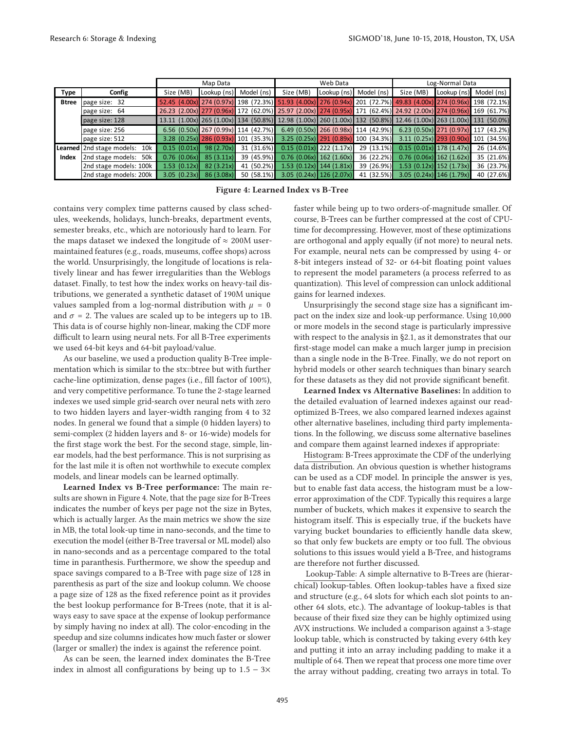|              |                               | Map Data       |             | Web Data                                    |                                                                                                                   | Log-Normal Data            |                                        |                                                                           |             |                                        |
|--------------|-------------------------------|----------------|-------------|---------------------------------------------|-------------------------------------------------------------------------------------------------------------------|----------------------------|----------------------------------------|---------------------------------------------------------------------------|-------------|----------------------------------------|
| Type         | Config                        | Size (MB)      | Lookup (ns) | Model (ns)                                  | Size (MB)                                                                                                         | Lookup (ns)                | Model (ns)                             | Size (MB)                                                                 | Lookup (ns) | Model (ns)                             |
| <b>Btree</b> | page size: 32                 |                |             |                                             | 52.45 (4.00x) 274 (0.97x) 198 (72.3%) 51.93 (4.00x) 276 (0.94x) 201 (72.7%) 49.83 (4.00x) 274 (0.96x) 198 (72.1%) |                            |                                        |                                                                           |             |                                        |
|              | page size: 64                 |                |             |                                             | 26.23 (2.00x) 277 (0.96x) 172 (62.0%) 25.97 (2.00x) 274 (0.95x) 171 (62.4%) 24.92 (2.00x) 274 (0.96x) 169 (61.7%) |                            |                                        |                                                                           |             |                                        |
|              | page size: 128                |                |             |                                             | 13.11 (1.00x) 265 (1.00x) 134 (50.8%) 12.98 (1.00x) 260 (1.00x) 132 (50.8%) 12.46 (1.00x) 263 (1.00x) 131 (50.0%) |                            |                                        |                                                                           |             |                                        |
|              | page size: 256                |                |             | 6.56 (0.50x) 267 (0.99x) 114 (42.7%)        |                                                                                                                   |                            |                                        | 6.49 (0.50x) 266 (0.98x) 114 (42.9%) 6.23 (0.50x) 271 (0.97x) 117 (43.2%) |             |                                        |
|              | page size: 512                |                |             | 3.28 $(0.25x)$ 286 $(0.93x)$ 101 $(35.3\%)$ |                                                                                                                   |                            | $3.25$ (0.25x) 291 (0.89x) 100 (34.3%) |                                                                           |             | $3.11$ (0.25x) 293 (0.90x) 101 (34.5%) |
|              | Learned 2nd stage models: 10k | $0.15$ (0.01x) | 98 (2.70x)  | 31 (31.6%)                                  | $0.15(0.01x)$ 222 (1.17x)                                                                                         |                            | $29(13.1\%)$                           | $0.15$ (0.01x) 178 (1.47x)                                                |             | 26 (14.6%)                             |
| Index        | 2nd stage models: 50k         | $0.76$ (0.06x) | 85 (3.11x)  | 39 (45.9%)                                  | $0.76$ (0.06x) 162 (1.60x)                                                                                        |                            | 36 (22.2%)                             | $0.76$ (0.06x) 162 (1.62x)                                                |             | 35 (21.6%)                             |
|              | 2nd stage models: 100k        | $1.53$ (0.12x) | 82(3.21x)   | 41 (50.2%)                                  |                                                                                                                   | $1.53$ (0.12x) 144 (1.81x) | 39 (26.9%)                             | $1.53$ (0.12x) 152 (1.73x)                                                |             | 36 (23.7%)                             |
|              | 2nd stage models: 200k        | 3.05(0.23x)    | 86 (3.08x)  | 50 (58.1%)                                  |                                                                                                                   | $3.05$ (0.24x) 126 (2.07x) | 41 (32.5%)                             | 3.05 $(0.24x)$ 146 $(1.79x)$                                              |             | 40 (27.6%)                             |

**Figure 4: Learned Index vs B-Tree**

contains very complex time patterns caused by class schedules, weekends, holidays, lunch-breaks, department events, semester breaks, etc., which are notoriously hard to learn. For the maps dataset we indexed the longitude of  $\approx 200$ M usermaintained features (e.g., roads, museums, coffee shops) across the world. Unsurprisingly, the longitude of locations is relatively linear and has fewer irregularities than the Weblogs dataset. Finally, to test how the index works on heavy-tail distributions, we generated a synthetic dataset of 190M unique values sampled from a log-normal distribution with  $\mu = 0$ and  $\sigma = 2$ . The values are scaled up to be integers up to 1B. This data is of course highly non-linear, making the CDF more difficult to learn using neural nets. For all B-Tree experiments we used 64-bit keys and 64-bit payload/value.

As our baseline, we used a production quality B-Tree implementation which is similar to the stx::btree but with further cache-line optimization, dense pages (i.e., fill factor of 100%), and very competitive performance. To tune the 2-stage learned indexes we used simple grid-search over neural nets with zero to two hidden layers and layer-width ranging from 4 to 32 nodes. In general we found that a simple (0 hidden layers) to semi-complex (2 hidden layers and 8- or 16-wide) models for the first stage work the best. For the second stage, simple, linear models, had the best performance. This is not surprising as for the last mile it is often not worthwhile to execute complex models, and linear models can be learned optimally.

**Learned Index vs B-Tree performance:** The main results are shown in Figure 4. Note, that the page size for B-Trees indicates the number of keys per page not the size in Bytes, which is actually larger. As the main metrics we show the size in MB, the total look-up time in nano-seconds, and the time to execution the model (either B-Tree traversal or ML model) also in nano-seconds and as a percentage compared to the total time in paranthesis. Furthermore, we show the speedup and space savings compared to a B-Tree with page size of 128 in parenthesis as part of the size and lookup column. We choose a page size of 128 as the fixed reference point as it provides the best lookup performance for B-Trees (note, that it is always easy to save space at the expense of lookup performance by simply having no index at all). The color-encoding in the speedup and size columns indicates how much faster or slower (larger or smaller) the index is against the reference point.

As can be seen, the learned index dominates the B-Tree index in almost all configurations by being up to  $1.5 - 3 \times$  faster while being up to two orders-of-magnitude smaller. Of course, B-Trees can be further compressed at the cost of CPUtime for decompressing. However, most of these optimizations are orthogonal and apply equally (if not more) to neural nets. For example, neural nets can be compressed by using 4- or 8-bit integers instead of 32- or 64-bit floating point values to represent the model parameters (a process referred to as quantization). This level of compression can unlock additional gains for learned indexes.

Unsurprisingly the second stage size has a significant impact on the index size and look-up performance. Using 10,000 or more models in the second stage is particularly impressive with respect to the analysis in §2.1, as it demonstrates that our first-stage model can make a much larger jump in precision than a single node in the B-Tree. Finally, we do not report on hybrid models or other search techniques than binary search for these datasets as they did not provide significant benefit.

**Learned Index vs Alternative Baselines:** In addition to the detailed evaluation of learned indexes against our readoptimized B-Trees, we also compared learned indexes against other alternative baselines, including third party implementations. In the following, we discuss some alternative baselines and compare them against learned indexes if appropriate:

Histogram: B-Trees approximate the CDF of the underlying data distribution. An obvious question is whether histograms can be used as a CDF model. In principle the answer is yes, but to enable fast data access, the histogram must be a lowerror approximation of the CDF. Typically this requires a large number of buckets, which makes it expensive to search the histogram itself. This is especially true, if the buckets have varying bucket boundaries to efficiently handle data skew, so that only few buckets are empty or too full. The obvious solutions to this issues would yield a B-Tree, and histograms are therefore not further discussed.

Lookup-Table: A simple alternative to B-Trees are (hierarchical) lookup-tables. Often lookup-tables have a fixed size and structure (e.g., 64 slots for which each slot points to another 64 slots, etc.). The advantage of lookup-tables is that because of their fixed size they can be highly optimized using AVX instructions. We included a comparison against a 3-stage lookup table, which is constructed by taking every 64th key and putting it into an array including padding to make it a multiple of 64. Then we repeat that process one more time over the array without padding, creating two arrays in total. To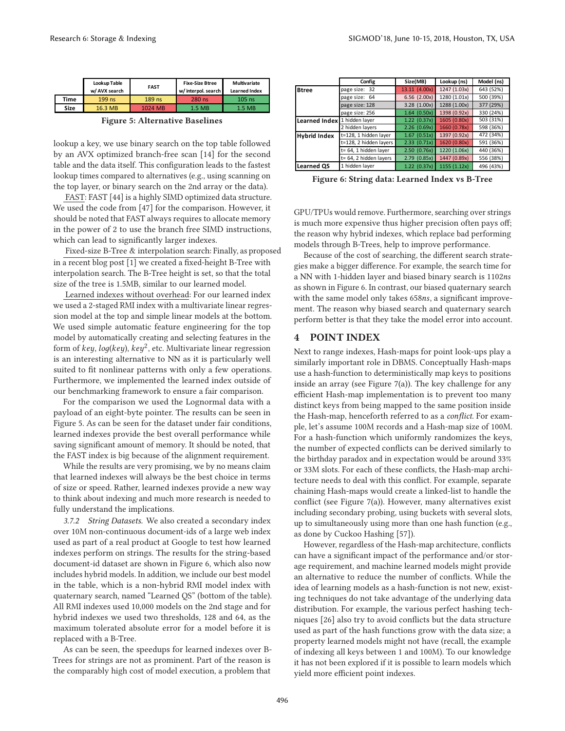|             | Lookup Table<br>w/AVX search | <b>FAST</b> | <b>Fixe-Size Btree</b><br>w/interpol. search | <b>Multivariate</b><br><b>Learned Index</b> |
|-------------|------------------------------|-------------|----------------------------------------------|---------------------------------------------|
| Time        | $199$ ns                     | 189 ns      | 280 ns                                       | $105$ ns                                    |
| <b>Size</b> | 16.3 MB                      | 1024 MB     | 1.5 MB                                       | 1.5 MB                                      |
|             | ___                          |             | $-$                                          |                                             |

**Figure 5: Alternative Baselines**

lookup a key, we use binary search on the top table followed by an AVX optimized branch-free scan [14] for the second table and the data itself. This configuration leads to the fastest lookup times compared to alternatives (e.g., using scanning on the top layer, or binary search on the 2nd array or the data).

FAST: FAST [44] is a highly SIMD optimized data structure. We used the code from [47] for the comparison. However, it should be noted that FAST always requires to allocate memory in the power of 2 to use the branch free SIMD instructions, which can lead to significantly larger indexes.

Fixed-size B-Tree & interpolation search: Finally, as proposed in a recent blog post [1] we created a fixed-height B-Tree with interpolation search. The B-Tree height is set, so that the total size of the tree is 1.5MB, similar to our learned model.

Learned indexes without overhead: For our learned index we used a 2-staged RMI index with a multivariate linear regression model at the top and simple linear models at the bottom. We used simple automatic feature engineering for the top model by automatically creating and selecting features in the form of key,  $log(key), key^2$ , etc. Multivariate linear regression is an interesting alternative to NN as it is particularly well suited to fit nonlinear patterns with only a few operations. Furthermore, we implemented the learned index outside of our benchmarking framework to ensure a fair comparison.

For the comparison we used the Lognormal data with a payload of an eight-byte pointer. The results can be seen in Figure 5. As can be seen for the dataset under fair conditions, learned indexes provide the best overall performance while saving significant amount of memory. It should be noted, that the FAST index is big because of the alignment requirement.

While the results are very promising, we by no means claim that learned indexes will always be the best choice in terms of size or speed. Rather, learned indexes provide a new way to think about indexing and much more research is needed to fully understand the implications.

3.7.2 String Datasets. We also created a secondary index over 10M non-continuous document-ids of a large web index used as part of a real product at Google to test how learned indexes perform on strings. The results for the string-based document-id dataset are shown in Figure 6, which also now includes hybrid models. In addition, we include our best model in the table, which is a non-hybrid RMI model index with quaternary search, named "Learned QS" (bottom of the table). All RMI indexes used 10,000 models on the 2nd stage and for hybrid indexes we used two thresholds, 128 and 64, as the maximum tolerated absolute error for a model before it is replaced with a B-Tree.

As can be seen, the speedups for learned indexes over B-Trees for strings are not as prominent. Part of the reason is the comparably high cost of model execution, a problem that

|                   | Config                 | Size(MB)       | Lookup (ns)  | Model (ns) |
|-------------------|------------------------|----------------|--------------|------------|
| <b>Btree</b>      | page size: 32          | 13.11 (4.00x)  | 1247 (1.03x) | 643 (52%)  |
|                   | page size: 64          | $6.56$ (2.00x) | 1280 (1.01x) | 500 (39%)  |
|                   | page size: 128         | 3.28 (1.00x)   | 1288 (1.00x) | 377 (29%)  |
|                   | page size: 256         | $1.64$ (0.50x) | 1398 (0.92x) | 330 (24%)  |
| Learned Index     | 1 hidden layer         | $1.22$ (0.37x) | 1605 (0.80x) | 503 (31%)  |
|                   | 2 hidden layers        | $2.26$ (0.69x) | 1660 (0.78x) | 598 (36%)  |
| Hybrid Index      | t=128, 1 hidden layer  | $1.67$ (0.51x) | 1397 (0.92x) | 472 (34%)  |
|                   | t=128, 2 hidden layers | 2.33(0.71x)    | 1620 (0.80x) | 591 (36%)  |
|                   | t= 64, 1 hidden layer  | 2.50 (0.76x)   | 1220 (1.06x) | 440 (36%)  |
|                   | t= 64, 2 hidden layers | 2.79 (0.85x)   | 1447 (0.89x) | 556 (38%)  |
| <b>Learned QS</b> | 1 hidden layer         | $1.22$ (0.37x) | 1155 (1.12x) | 496 (43%)  |

**Figure 6: String data: Learned Index vs B-Tree**

GPU/TPUs would remove. Furthermore, searching over strings is much more expensive thus higher precision often pays off; the reason why hybrid indexes, which replace bad performing models through B-Trees, help to improve performance.

Because of the cost of searching, the different search strategies make a bigger difference. For example, the search time for a NN with 1-hidden layer and biased binary search is 1102ns as shown in Figure 6. In contrast, our biased quaternary search with the same model only takes 658ns, a significant improvement. The reason why biased search and quaternary search perform better is that they take the model error into account.

#### **4 POINT INDEX**

Next to range indexes, Hash-maps for point look-ups play a similarly important role in DBMS. Conceptually Hash-maps use a hash-function to deterministically map keys to positions inside an array (see Figure  $7(a)$ ). The key challenge for any efficient Hash-map implementation is to prevent too many distinct keys from being mapped to the same position inside the Hash-map, henceforth referred to as a *conflict*. For example, let's assume 100M records and a Hash-map size of 100M. For a hash-function which uniformly randomizes the keys, the number of expected conflicts can be derived similarly to the birthday paradox and in expectation would be around 33% or 33M slots. For each of these conflicts, the Hash-map architecture needs to deal with this conflict. For example, separate chaining Hash-maps would create a linked-list to handle the conflict (see Figure 7(a)). However, many alternatives exist including secondary probing, using buckets with several slots, up to simultaneously using more than one hash function (e.g., as done by Cuckoo Hashing [57]).

However, regardless of the Hash-map architecture, conflicts can have a significant impact of the performance and/or storage requirement, and machine learned models might provide an alternative to reduce the number of conflicts. While the idea of learning models as a hash-function is not new, existing techniques do not take advantage of the underlying data distribution. For example, the various perfect hashing techniques [26] also try to avoid conflicts but the data structure used as part of the hash functions grow with the data size; a property learned models might not have (recall, the example of indexing all keys between 1 and 100M). To our knowledge it has not been explored if it is possible to learn models which yield more efficient point indexes.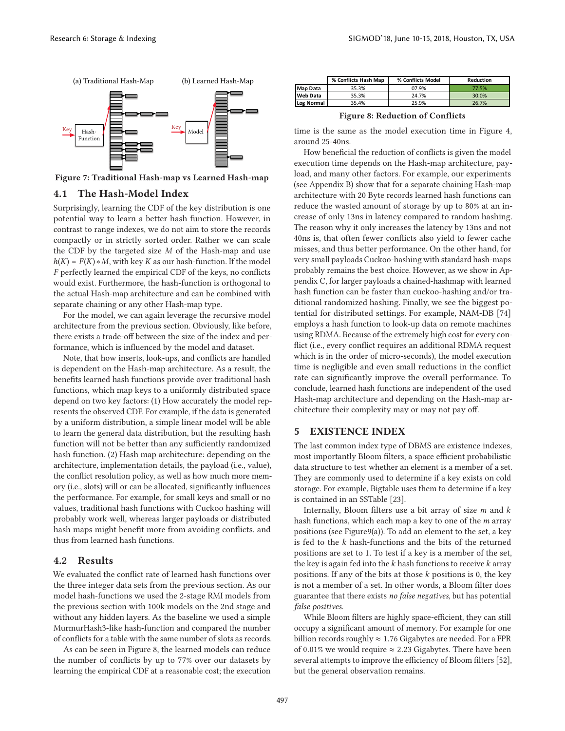

**Figure 7: Traditional Hash-map vs Learned Hash-map**

#### **4.1 The Hash-Model Index**

Surprisingly, learning the CDF of the key distribution is one potential way to learn a better hash function. However, in contrast to range indexes, we do not aim to store the records compactly or in strictly sorted order. Rather we can scale the CDF by the targeted size  $M$  of the Hash-map and use  $h(K) = F(K) * M$ , with key K as our hash-function. If the model F perfectly learned the empirical CDF of the keys, no conflicts would exist. Furthermore, the hash-function is orthogonal to the actual Hash-map architecture and can be combined with separate chaining or any other Hash-map type.

For the model, we can again leverage the recursive model architecture from the previous section. Obviously, like before, there exists a trade-off between the size of the index and performance, which is influenced by the model and dataset.

Note, that how inserts, look-ups, and conflicts are handled is dependent on the Hash-map architecture. As a result, the benefits learned hash functions provide over traditional hash functions, which map keys to a uniformly distributed space depend on two key factors: (1) How accurately the model represents the observed CDF. For example, if the data is generated by a uniform distribution, a simple linear model will be able to learn the general data distribution, but the resulting hash function will not be better than any sufficiently randomized hash function. (2) Hash map architecture: depending on the architecture, implementation details, the payload (i.e., value), the conflict resolution policy, as well as how much more memory (i.e., slots) will or can be allocated, significantly influences the performance. For example, for small keys and small or no values, traditional hash functions with Cuckoo hashing will probably work well, whereas larger payloads or distributed hash maps might benefit more from avoiding conflicts, and thus from learned hash functions.

## **4.2 Results**

We evaluated the conflict rate of learned hash functions over the three integer data sets from the previous section. As our model hash-functions we used the 2-stage RMI models from the previous section with 100k models on the 2nd stage and without any hidden layers. As the baseline we used a simple MurmurHash3-like hash-function and compared the number of conflicts for a table with the same number of slots as records.

As can be seen in Figure 8, the learned models can reduce the number of conflicts by up to 77% over our datasets by learning the empirical CDF at a reasonable cost; the execution

|            | % Conflicts Hash Map | % Conflicts Model | Reduction |
|------------|----------------------|-------------------|-----------|
| Map Data   | 35.3%                | 07.9%             | 77.5%     |
| Web Data   | 35.3%                | 24.7%             | 30.0%     |
| Log Normal | 35.4%                | 25.9%             | 26.7%     |

**Figure 8: Reduction of Conflicts**

time is the same as the model execution time in Figure 4, around 25-40ns.

How beneficial the reduction of conflicts is given the model execution time depends on the Hash-map architecture, payload, and many other factors. For example, our experiments (see Appendix B) show that for a separate chaining Hash-map architecture with 20 Byte records learned hash functions can reduce the wasted amount of storage by up to 80% at an increase of only 13ns in latency compared to random hashing. The reason why it only increases the latency by 13ns and not 40ns is, that often fewer conflicts also yield to fewer cache misses, and thus better performance. On the other hand, for very small payloads Cuckoo-hashing with standard hash-maps probably remains the best choice. However, as we show in Appendix C, for larger payloads a chained-hashmap with learned hash function can be faster than cuckoo-hashing and/or traditional randomized hashing. Finally, we see the biggest potential for distributed settings. For example, NAM-DB [74] employs a hash function to look-up data on remote machines using RDMA. Because of the extremely high cost for every conflict (i.e., every conflict requires an additional RDMA request which is in the order of micro-seconds), the model execution time is negligible and even small reductions in the conflict rate can significantly improve the overall performance. To conclude, learned hash functions are independent of the used Hash-map architecture and depending on the Hash-map architecture their complexity may or may not pay off.

## **5 EXISTENCE INDEX**

The last common index type of DBMS are existence indexes, most importantly Bloom filters, a space efficient probabilistic data structure to test whether an element is a member of a set. They are commonly used to determine if a key exists on cold storage. For example, Bigtable uses them to determine if a key is contained in an SSTable [23].

Internally, Bloom filters use a bit array of size  $m$  and  $k$ hash functions, which each map a key to one of the m array positions (see Figure9(a)). To add an element to the set, a key is fed to the  $k$  hash-functions and the bits of the returned positions are set to 1. To test if a key is a member of the set, the key is again fed into the  $k$  hash functions to receive  $k$  array positions. If any of the bits at those  $k$  positions is 0, the key is not a member of a set. In other words, a Bloom filter does guarantee that there exists *no false negatives*, but has potential *false positives*.

While Bloom filters are highly space-efficient, they can still occupy a significant amount of memory. For example for one billion records roughly  $\approx 1.76$  Gigabytes are needed. For a FPR of 0.01% we would require  $\approx$  2.23 Gigabytes. There have been several attempts to improve the efficiency of Bloom filters [52], but the general observation remains.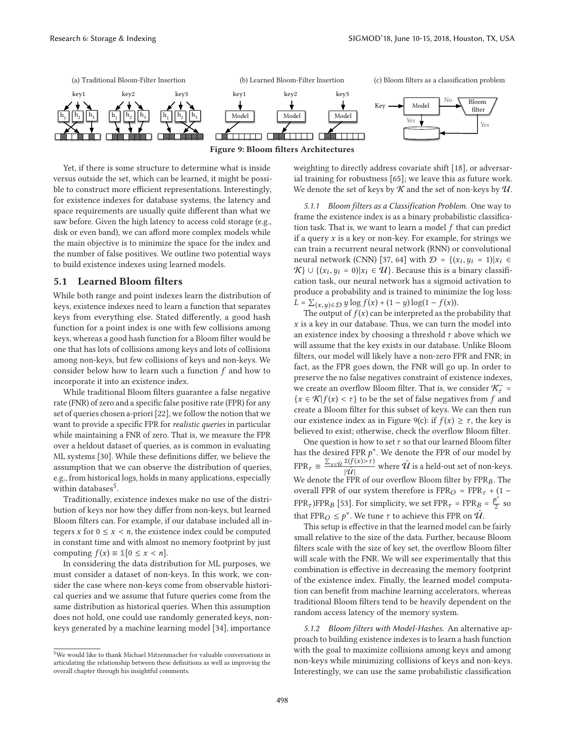

Yet, if there is some structure to determine what is inside versus outside the set, which can be learned, it might be possible to construct more efficient representations. Interestingly, for existence indexes for database systems, the latency and space requirements are usually quite different than what we saw before. Given the high latency to access cold storage (e.g., disk or even band), we can afford more complex models while the main objective is to minimize the space for the index and the number of false positives. We outline two potential ways to build existence indexes using learned models.

#### **5.1 Learned Bloom filters**

While both range and point indexes learn the distribution of keys, existence indexes need to learn a function that separates keys from everything else. Stated differently, a good hash function for a point index is one with few collisions among keys, whereas a good hash function for a Bloom filter would be one that has lots of collisions among keys and lots of collisions among non-keys, but few collisions of keys and non-keys. We consider below how to learn such a function f and how to incorporate it into an existence index.

While traditional Bloom filters guarantee a false negative rate (FNR) of zero and a specific false positive rate (FPR) for any set of queries chosen a-priori [22], we follow the notion that we want to provide a specific FPR for *realistic queries* in particular while maintaining a FNR of zero. That is, we measure the FPR over a heldout dataset of queries, as is common in evaluating ML systems [30]. While these definitions differ, we believe the assumption that we can observe the distribution of queries, e.g., from historical logs, holds in many applications, especially within databases<sup>5</sup>.

Traditionally, existence indexes make no use of the distribution of keys nor how they differ from non-keys, but learned Bloom filters can. For example, if our database included all integers x for  $0 \le x < n$ , the existence index could be computed in constant time and with almost no memory footprint by just computing  $f(x) \equiv \mathbb{1}[0 \le x < n]$ .

In considering the data distribution for ML purposes, we must consider a dataset of non-keys. In this work, we consider the case where non-keys come from observable historical queries and we assume that future queries come from the same distribution as historical queries. When this assumption does not hold, one could use randomly generated keys, nonkeys generated by a machine learning model [34], importance

weighting to directly address covariate shift [18], or adversarial training for robustness [65]; we leave this as future work. We denote the set of keys by  $K$  and the set of non-keys by  $U$ .

5.1.1 Bloom filters as a Classification Problem. One way to frame the existence index is as a binary probabilistic classification task. That is, we want to learn a model  $f$  that can predict if a query  $x$  is a key or non-key. For example, for strings we can train a recurrent neural network (RNN) or convolutional neural network (CNN) [37, 64] with  $\mathcal{D} = \{(x_i, y_i = 1)|x_i \in$  $\mathcal{K}$  ∪  $\{(x_i, y_i = 0)|x_i \in \mathcal{U}\}\)$ . Because this is a binary classification task, our neural network has a sigmoid activation to produce a probability and is trained to minimize the log loss:  $L = \sum_{(x,y) \in \mathcal{D}} y \log f(x) + (1-y) \log(1 - f(x)).$ 

The output of  $f(x)$  can be interpreted as the probability that  $x$  is a key in our database. Thus, we can turn the model into an existence index by choosing a threshold  $\tau$  above which we will assume that the key exists in our database. Unlike Bloom filters, our model will likely have a non-zero FPR and FNR; in fact, as the FPR goes down, the FNR will go up. In order to preserve the no false negatives constraint of existence indexes, we create an overflow Bloom filter. That is, we consider  $\mathcal{K}^-$  =  ${x \in \mathcal{K}|f(x) < \tau}$  to be the set of false negatives from f and create a Bloom filter for this subset of keys. We can then run our existence index as in Figure 9(c): if  $f(x) \geq \tau$ , the key is believed to exist; otherwise, check the overflow Bloom filter.

One question is how to set  $\tau$  so that our learned Bloom filter has the desired FPR  $p^*$ . We denote the FPR of our model by FPR<sub>T</sub>  $\equiv \frac{\sum_{x \in \mathcal{U}} \mathbb{1}(f(x) > \tau)}{|\mathcal{U}|}$  where  $\mathcal{U}$  is a held-out set of non-keys. We denote the FPR of our overflow Bloom filter by  $FPR_B$ . The overall FPR of our system therefore is FPR $_{O}$  = FPR $_{\tau}$  + (1 – FPR<sub>τ</sub>)FPR<sub>B</sub> [53]. For simplicity, we set FPR<sub>τ</sub> = FPR<sub>B</sub> =  $\frac{p^*}{2}$  so that FPR<sub>O</sub>  $\leq p^*$ . We tune  $\tau$  to achieve this FPR on  $\hat{U}$ .

This setup is effective in that the learned model can be fairly small relative to the size of the data. Further, because Bloom filters scale with the size of key set, the overflow Bloom filter will scale with the FNR. We will see experimentally that this combination is effective in decreasing the memory footprint of the existence index. Finally, the learned model computation can benefit from machine learning accelerators, whereas traditional Bloom filters tend to be heavily dependent on the random access latency of the memory system.

5.1.2 Bloom filters with Model-Hashes. An alternative approach to building existence indexes is to learn a hash function with the goal to maximize collisions among keys and among non-keys while minimizing collisions of keys and non-keys. Interestingly, we can use the same probabilistic classification

 $^{5}\mathrm{We}$  would like to thank Michael Mitzenmacher for valuable conversations in articulating the relationship between these definitions as well as improving the overall chapter through his insightful comments.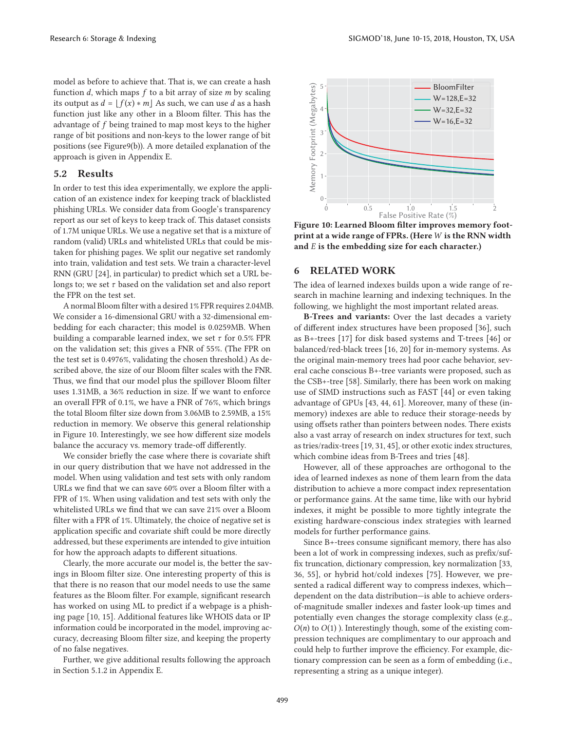model as before to achieve that. That is, we can create a hash function  $d$ , which maps  $f$  to a bit array of size  $m$  by scaling its output as  $d = \lfloor f(x) * m \rfloor$  As such, we can use d as a hash function just like any other in a Bloom filter. This has the advantage of f being trained to map most keys to the higher range of bit positions and non-keys to the lower range of bit positions (see Figure9(b)). A more detailed explanation of the approach is given in Appendix E.

#### **5.2 Results**

In order to test this idea experimentally, we explore the application of an existence index for keeping track of blacklisted phishing URLs. We consider data from Google's transparency report as our set of keys to keep track of. This dataset consists of 1.7M unique URLs. We use a negative set that is a mixture of random (valid) URLs and whitelisted URLs that could be mistaken for phishing pages. We split our negative set randomly into train, validation and test sets. We train a character-level RNN (GRU [24], in particular) to predict which set a URL belongs to; we set  $\tau$  based on the validation set and also report the FPR on the test set.

A normal Bloom filter with a desired 1% FPR requires 2.04MB. We consider a 16-dimensional GRU with a 32-dimensional embedding for each character; this model is 0.0259MB. When building a comparable learned index, we set  $\tau$  for 0.5% FPR on the validation set; this gives a FNR of 55%. (The FPR on the test set is 0.4976%, validating the chosen threshold.) As described above, the size of our Bloom filter scales with the FNR. Thus, we find that our model plus the spillover Bloom filter uses 1.31MB, a 36% reduction in size. If we want to enforce an overall FPR of 0.1%, we have a FNR of 76%, which brings the total Bloom filter size down from 3.06MB to 2.59MB, a 15% reduction in memory. We observe this general relationship in Figure 10. Interestingly, we see how different size models balance the accuracy vs. memory trade-off differently.

We consider briefly the case where there is covariate shift in our query distribution that we have not addressed in the model. When using validation and test sets with only random URLs we find that we can save 60% over a Bloom filter with a FPR of 1%. When using validation and test sets with only the whitelisted URLs we find that we can save 21% over a Bloom filter with a FPR of 1%. Ultimately, the choice of negative set is application specific and covariate shift could be more directly addressed, but these experiments are intended to give intuition for how the approach adapts to different situations.

Clearly, the more accurate our model is, the better the savings in Bloom filter size. One interesting property of this is that there is no reason that our model needs to use the same features as the Bloom filter. For example, significant research has worked on using ML to predict if a webpage is a phishing page [10, 15]. Additional features like WHOIS data or IP information could be incorporated in the model, improving accuracy, decreasing Bloom filter size, and keeping the property of no false negatives.

Further, we give additional results following the approach in Section 5.1.2 in Appendix E.



**Figure 10: Learned Bloom filter improves memory foot**print at a wide range of FPRs. (Here W is the RNN width **and** E **is the embedding size for each character.)**

#### **6 RELATED WORK**

The idea of learned indexes builds upon a wide range of research in machine learning and indexing techniques. In the following, we highlight the most important related areas.

**B-Trees and variants:** Over the last decades a variety of different index structures have been proposed [36], such as B+-trees [17] for disk based systems and T-trees [46] or balanced/red-black trees [16, 20] for in-memory systems. As the original main-memory trees had poor cache behavior, several cache conscious B+-tree variants were proposed, such as the CSB+-tree [58]. Similarly, there has been work on making use of SIMD instructions such as FAST [44] or even taking advantage of GPUs [43, 44, 61]. Moreover, many of these (inmemory) indexes are able to reduce their storage-needs by using offsets rather than pointers between nodes. There exists also a vast array of research on index structures for text, such as tries/radix-trees [19, 31, 45], or other exotic index structures, which combine ideas from B-Trees and tries [48].

However, all of these approaches are orthogonal to the idea of learned indexes as none of them learn from the data distribution to achieve a more compact index representation or performance gains. At the same time, like with our hybrid indexes, it might be possible to more tightly integrate the existing hardware-conscious index strategies with learned models for further performance gains.

Since B+-trees consume significant memory, there has also been a lot of work in compressing indexes, such as prefix/suffix truncation, dictionary compression, key normalization [33, 36, 55], or hybrid hot/cold indexes [75]. However, we presented a radical different way to compress indexes, which dependent on the data distribution—is able to achieve ordersof-magnitude smaller indexes and faster look-up times and potentially even changes the storage complexity class (e.g.,  $O(n)$  to  $O(1)$ ). Interestingly though, some of the existing compression techniques are complimentary to our approach and could help to further improve the efficiency. For example, dictionary compression can be seen as a form of embedding (i.e., representing a string as a unique integer).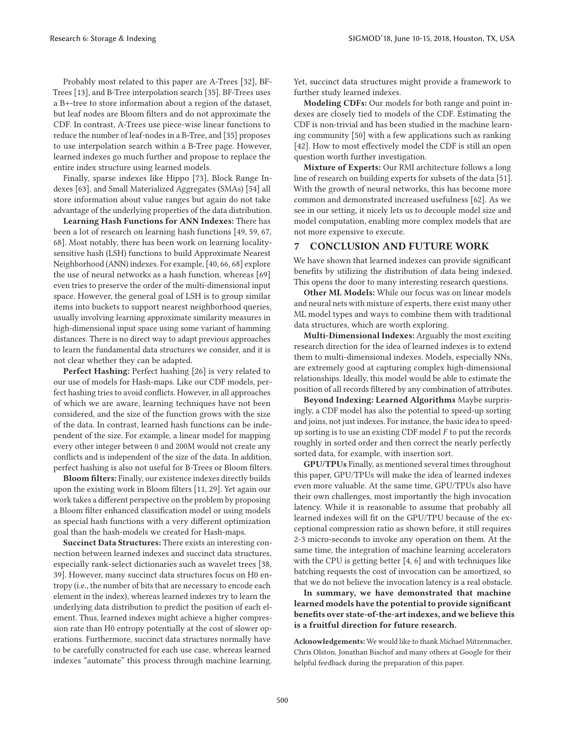Probably most related to this paper are A-Trees [32], BF-Trees [13], and B-Tree interpolation search [35]. BF-Trees uses a B+-tree to store information about a region of the dataset, but leaf nodes are Bloom filters and do not approximate the CDF. In contrast, A-Trees use piece-wise linear functions to reduce the number of leaf-nodes in a B-Tree, and [35] proposes to use interpolation search within a B-Tree page. However, learned indexes go much further and propose to replace the entire index structure using learned models.

Finally, sparse indexes like Hippo [73], Block Range Indexes [63], and Small Materialized Aggregates (SMAs) [54] all store information about value ranges but again do not take advantage of the underlying properties of the data distribution.

**Learning Hash Functions for ANN Indexes:** There has been a lot of research on learning hash functions [49, 59, 67, 68]. Most notably, there has been work on learning localitysensitive hash (LSH) functions to build Approximate Nearest Neighborhood (ANN) indexes. For example, [40, 66, 68] explore the use of neural networks as a hash function, whereas [69] even tries to preserve the order of the multi-dimensional input space. However, the general goal of LSH is to group similar items into buckets to support nearest neighborhood queries, usually involving learning approximate similarity measures in high-dimensional input space using some variant of hamming distances. There is no direct way to adapt previous approaches to learn the fundamental data structures we consider, and it is not clear whether they can be adapted.

**Perfect Hashing:** Perfect hashing [26] is very related to our use of models for Hash-maps. Like our CDF models, perfect hashing tries to avoid conflicts. However, in all approaches of which we are aware, learning techniques have not been considered, and the size of the function grows with the size of the data. In contrast, learned hash functions can be independent of the size. For example, a linear model for mapping every other integer between 0 and 200M would not create any conflicts and is independent of the size of the data. In addition, perfect hashing is also not useful for B-Trees or Bloom filters.

**Bloom filters:** Finally, our existence indexes directly builds upon the existing work in Bloom filters [11, 29]. Yet again our work takes a different perspective on the problem by proposing a Bloom filter enhanced classification model or using models as special hash functions with a very different optimization goal than the hash-models we created for Hash-maps.

**Succinct Data Structures:** There exists an interesting connection between learned indexes and succinct data structures, especially rank-select dictionaries such as wavelet trees [38, 39]. However, many succinct data structures focus on H0 entropy (i.e., the number of bits that are necessary to encode each element in the index), whereas learned indexes try to learn the underlying data distribution to predict the position of each element. Thus, learned indexes might achieve a higher compression rate than H0 entropy potentially at the cost of slower operations. Furthermore, succinct data structures normally have to be carefully constructed for each use case, whereas learned indexes "automate" this process through machine learning. Yet, succinct data structures might provide a framework to further study learned indexes.

**Modeling CDFs:** Our models for both range and point indexes are closely tied to models of the CDF. Estimating the CDF is non-trivial and has been studied in the machine learning community [50] with a few applications such as ranking [42]. How to most effectively model the CDF is still an open question worth further investigation.

**Mixture of Experts:** Our RMI architecture follows a long line of research on building experts for subsets of the data [51]. With the growth of neural networks, this has become more common and demonstrated increased usefulness [62]. As we see in our setting, it nicely lets us to decouple model size and model computation, enabling more complex models that are not more expensive to execute.

#### **7 CONCLUSION AND FUTURE WORK**

We have shown that learned indexes can provide significant benefits by utilizing the distribution of data being indexed. This opens the door to many interesting research questions.

**Other ML Models:** While our focus was on linear models and neural nets with mixture of experts, there exist many other ML model types and ways to combine them with traditional data structures, which are worth exploring.

**Multi-Dimensional Indexes:** Arguably the most exciting research direction for the idea of learned indexes is to extend them to multi-dimensional indexes. Models, especially NNs, are extremely good at capturing complex high-dimensional relationships. Ideally, this model would be able to estimate the position of all records filtered by any combination of attributes.

**Beyond Indexing: Learned Algorithms** Maybe surprisingly, a CDF model has also the potential to speed-up sorting and joins, not just indexes. For instance, the basic idea to speedup sorting is to use an existing CDF model  $F$  to put the records roughly in sorted order and then correct the nearly perfectly sorted data, for example, with insertion sort.

**GPU/TPUs** Finally, as mentioned several times throughout this paper, GPU/TPUs will make the idea of learned indexes even more valuable. At the same time, GPU/TPUs also have their own challenges, most importantly the high invocation latency. While it is reasonable to assume that probably all learned indexes will fit on the GPU/TPU because of the exceptional compression ratio as shown before, it still requires 2-3 micro-seconds to invoke any operation on them. At the same time, the integration of machine learning accelerators with the CPU is getting better [4, 6] and with techniques like batching requests the cost of invocation can be amortized, so that we do not believe the invocation latency is a real obstacle.

**In summary, we have demonstrated that machine learned models have the potential to provide significant benefits over state-of-the-art indexes, and we believe this is a fruitful direction for future research.**

**Acknowledgements:** We would like to thank Michael Mitzenmacher, Chris Olston, Jonathan Bischof and many others at Google for their helpful feedback during the preparation of this paper.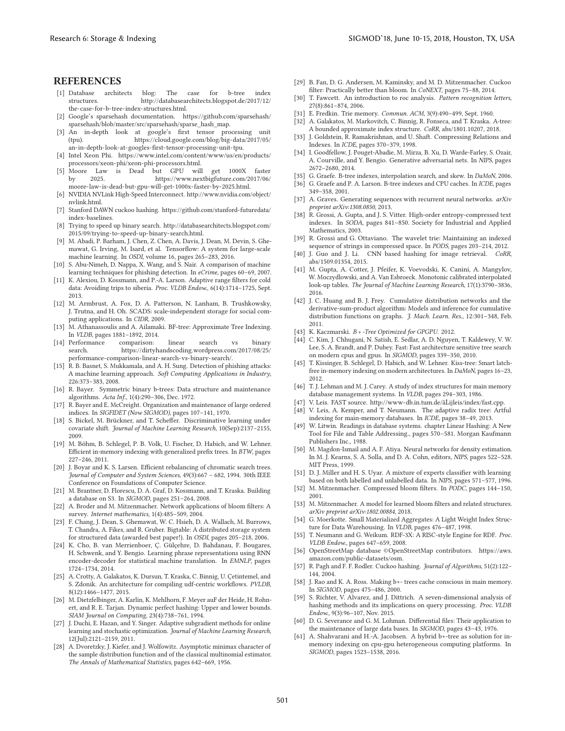#### **REFERENCES**

- [1] Database architects blog: The case for b-tree index structures. http://databasearchitects.blogspot.de/2017/12/ the-case-for-b-tree-index-structures.html.
- [2] Google's sparsehash documentation. https://github.com/sparsehash/ sparsehash/blob/master/src/sparsehash/sparse\_hash\_map.
- [3] An in-depth look at google's first tensor processing unit (tpu). https://cloud.google.com/blog/big-data/2017/05/ an-in-depth-look-at-googles-first-tensor-processing-unit-tpu.
- [4] Intel Xeon Phi. https://www.intel.com/content/www/us/en/products/ processors/xeon-phi/xeon-phi-processors.html.
- [5] Moore Law is Dead but GPU will get 1000X faster by 2025. https://www.nextbigfuture.com/2017/06/ moore-law-is-dead-but-gpu-will-get-1000x-faster-by-2025.html.
- [6] NVIDIA NVLink High-Speed Interconnect. http://www.nvidia.com/object/ nvlink.html.
- [7] Stanford DAWN cuckoo hashing. https://github.com/stanford-futuredata/ index-baselines.
- [8] Trying to speed up binary search. http://databasearchitects.blogspot.com/ 2015/09/trying-to-speed-up-binary-search.html.
- M. Abadi, P. Barham, J. Chen, Z. Chen, A. Davis, J. Dean, M. Devin, S. Ghemawat, G. Irving, M. Isard, et al. Tensorflow: A system for large-scale machine learning. In *OSDI*, volume 16, pages 265–283, 2016.
- [10] S. Abu-Nimeh, D. Nappa, X. Wang, and S. Nair. A comparison of machine learning techniques for phishing detection. In *eCrime*, pages 60–69, 2007.
- [11] K. Alexiou, D. Kossmann, and P.-A. Larson. Adaptive range filters for cold data: Avoiding trips to siberia. *Proc. VLDB Endow.*, 6(14):1714–1725, Sept. 2013.
- [12] M. Armbrust, A. Fox, D. A. Patterson, N. Lanham, B. Trushkowsky, J. Trutna, and H. Oh. SCADS: scale-independent storage for social computing applications. In *CIDR*, 2009.
- [13] M. Athanassoulis and A. Ailamaki. BF-tree: Approximate Tree Indexing. In *VLDB*, pages 1881–1892, 2014.
- [14] Performance comparison: linear search vs binary search. https://dirtyhandscoding.wordpress.com/2017/08/25/ performance-comparison-linear-search-vs-binary-search/.
- [15] R. B. Basnet, S. Mukkamala, and A. H. Sung. Detection of phishing attacks: A machine learning approach. *Soft Computing Applications in Industry*, 226:373–383, 2008.
- [16] R. Bayer. Symmetric binary b-trees: Data structure and maintenance algorithms. *Acta Inf.*, 1(4):290–306, Dec. 1972.
- [17] R. Bayer and E. McCreight. Organization and maintenance of large ordered indices. In *SIGFIDET (Now SIGMOD)*, pages 107–141, 1970.
- [18] S. Bickel, M. Brückner, and T. Scheffer. Discriminative learning under covariate shift. *Journal of Machine Learning Research*, 10(Sep):2137–2155, 2009.
- [19] M. Böhm, B. Schlegel, P. B. Volk, U. Fischer, D. Habich, and W. Lehner. Efficient in-memory indexing with generalized prefix trees. In *BTW*, pages 227–246, 2011.
- [20] J. Boyar and K. S. Larsen. Efficient rebalancing of chromatic search trees. *Journal of Computer and System Sciences*, 49(3):667 – 682, 1994. 30th IEEE Conference on Foundations of Computer Science.
- [21] M. Brantner, D. Florescu, D. A. Graf, D. Kossmann, and T. Kraska. Building a database on S3. In *SIGMOD*, pages 251–264, 2008.
- [22] A. Broder and M. Mitzenmacher. Network applications of bloom filters: A survey. *Internet mathematics*, 1(4):485–509, 2004.
- [23] F. Chang, J. Dean, S. Ghemawat, W. C. Hsieh, D. A. Wallach, M. Burrows, T. Chandra, A. Fikes, and R. Gruber. Bigtable: A distributed storage system for structured data (awarded best paper!). In *OSDI*, pages 205–218, 2006.
- [24] K. Cho, B. van Merrienboer, Ç. Gülçehre, D. Bahdanau, F. Bougares, H. Schwenk, and Y. Bengio. Learning phrase representations using RNN encoder-decoder for statistical machine translation. In *EMNLP*, pages 1724–1734, 2014.
- [25] A. Crotty, A. Galakatos, K. Dursun, T. Kraska, C. Binnig, U. Çetintemel, and S. Zdonik. An architecture for compiling udf-centric workflows. *PVLDB*, 8(12):1466–1477, 2015.
- [26] M. Dietzfelbinger, A. Karlin, K. Mehlhorn, F. Meyer auF der Heide, H. Rohnert, and R. E. Tarjan. Dynamic perfect hashing: Upper and lower bounds. *SIAM Journal on Computing*, 23(4):738–761, 1994.
- [27] J. Duchi, E. Hazan, and Y. Singer. Adaptive subgradient methods for online learning and stochastic optimization. *Journal of Machine Learning Research*, 12(Jul):2121–2159, 2011.
- [28] A. Dvoretzky, J. Kiefer, and J. Wolfowitz. Asymptotic minimax character of the sample distribution function and of the classical multinomial estimator. *The Annals of Mathematical Statistics*, pages 642–669, 1956.
- [29] B. Fan, D. G. Andersen, M. Kaminsky, and M. D. Mitzenmacher. Cuckoo filter: Practically better than bloom. In *CoNEXT*, pages 75–88, 2014.
- [30] T. Fawcett. An introduction to roc analysis. *Pattern recognition letters*, 27(8):861–874, 2006.
- [31] E. Fredkin. Trie memory. *Commun. ACM*, 3(9):490–499, Sept. 1960.
- [32] A. Galakatos, M. Markovitch, C. Binnig, R. Fonseca, and T. Kraska. A-tree: A bounded approximate index structure. *CoRR*, abs/1801.10207, 2018.
- [33] J. Goldstein, R. Ramakrishnan, and U. Shaft. Compressing Relations and Indexes. In *ICDE*, pages 370–379, 1998.
- [34] I. Goodfellow, J. Pouget-Abadie, M. Mirza, B. Xu, D. Warde-Farley, S. Ozair, A. Courville, and Y. Bengio. Generative adversarial nets. In *NIPS*, pages 2672–2680, 2014.
- [35] G. Graefe. B-tree indexes, interpolation search, and skew. In *DaMoN*, 2006.
- [36] G. Graefe and P. A. Larson. B-tree indexes and CPU caches. In *ICDE*, pages 349–358, 2001.
- [37] A. Graves. Generating sequences with recurrent neural networks. *arXiv preprint arXiv:1308.0850*, 2013.
- [38] R. Grossi, A. Gupta, and J. S. Vitter. High-order entropy-compressed text indexes. In *SODA*, pages 841–850. Society for Industrial and Applied Mathematics, 2003.
- [39] R. Grossi and G. Ottaviano. The wavelet trie: Maintaining an indexed sequence of strings in compressed space. In *PODS*, pages 203–214, 2012.
- [40] J. Guo and J. Li. CNN based hashing for image retrieval. *CoRR*, abs/1509.01354, 2015.
- [41] M. Gupta, A. Cotter, J. Pfeifer, K. Voevodski, K. Canini, A. Mangylov, W. Moczydlowski, and A. Van Esbroeck. Monotonic calibrated interpolated look-up tables. *The Journal of Machine Learning Research*, 17(1):3790–3836, 2016.
- [42] J. C. Huang and B. J. Frey. Cumulative distribution networks and the derivative-sum-product algorithm: Models and inference for cumulative distribution functions on graphs. *J. Mach. Learn. Res.*, 12:301–348, Feb. 2011.
- [43] K. Kaczmarski. *B + -Tree Optimized for GPGPU*. 2012.
- [44] C. Kim, J. Chhugani, N. Satish, E. Sedlar, A. D. Nguyen, T. Kaldewey, V. W. Lee, S. A. Brandt, and P. Dubey. Fast: Fast architecture sensitive tree search on modern cpus and gpus. In *SIGMOD*, pages 339–350, 2010.
- [45] T. Kissinger, B. Schlegel, D. Habich, and W. Lehner. Kiss-tree: Smart latchfree in-memory indexing on modern architectures. In *DaMoN*, pages 16–23, 2012.
- [46] T. J. Lehman and M. J. Carey. A study of index structures for main memory database management systems. In *VLDB*, pages 294–303, 1986.
- [47] V. Leis. FAST source. http://www-db.in.tum.de/âĹijleis/index/fast.cpp.
- [48] V. Leis, A. Kemper, and T. Neumann. The adaptive radix tree: Artful indexing for main-memory databases. In *ICDE*, pages 38–49, 2013.
- [49] W. Litwin. Readings in database systems. chapter Linear Hashing: A New Tool for File and Table Addressing., pages 570–581. Morgan Kaufmann Publishers Inc., 1988.
- [50] M. Magdon-Ismail and A. F. Atiya. Neural networks for density estimation. In M. J. Kearns, S. A. Solla, and D. A. Cohn, editors, *NIPS*, pages 522–528. MIT Press, 1999.
- [51] D. J. Miller and H. S. Uyar. A mixture of experts classifier with learning based on both labelled and unlabelled data. In *NIPS*, pages 571–577, 1996.
- [52] M. Mitzenmacher. Compressed bloom filters. In *PODC*, pages 144–150, 2001.
- M. Mitzenmacher. A model for learned bloom filters and related structures. *arXiv preprint arXiv:1802.00884*, 2018.
- [54] G. Moerkotte. Small Materialized Aggregates: A Light Weight Index Structure for Data Warehousing. In *VLDB*, pages 476–487, 1998.
- [55] T. Neumann and G. Weikum. RDF-3X: A RISC-style Engine for RDF. *Proc. VLDB Endow.*, pages 647–659, 2008.
- [56] OpenStreetMap database ©OpenStreetMap contributors. https://aws. amazon.com/public-datasets/osm.
- [57] R. Pagh and F. F. Rodler. Cuckoo hashing. *Journal of Algorithms*, 51(2):122– 144, 2004.
- [58] J. Rao and K. A. Ross. Making b+- trees cache conscious in main memory. In *SIGMOD*, pages 475–486, 2000.
- [59] S. Richter, V. Alvarez, and J. Dittrich. A seven-dimensional analysis of hashing methods and its implications on query processing. *Proc. VLDB Endow.*, 9(3):96–107, Nov. 2015.
- [60] D. G. Severance and G. M. Lohman. Differential files: Their application to the maintenance of large data bases. In *SIGMOD*, pages 43–43, 1976.
- [61] A. Shahvarani and H.-A. Jacobsen. A hybrid b+-tree as solution for inmemory indexing on cpu-gpu heterogeneous computing platforms. In *SIGMOD*, pages 1523–1538, 2016.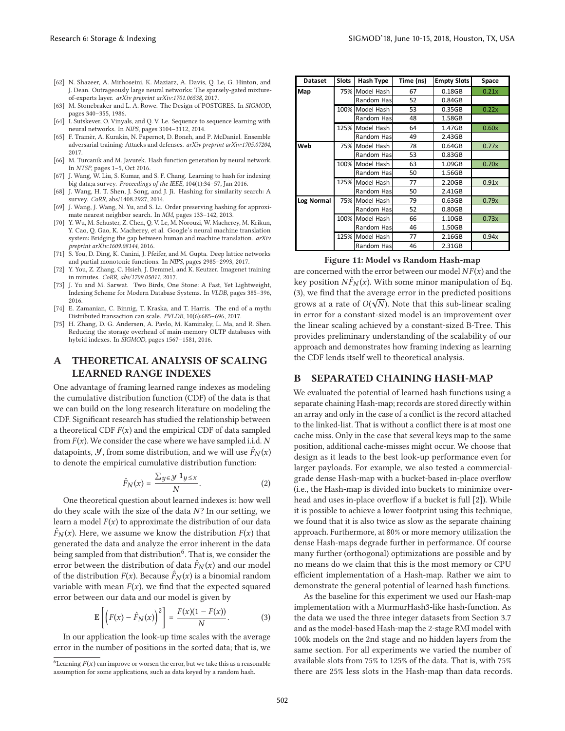- [62] N. Shazeer, A. Mirhoseini, K. Maziarz, A. Davis, Q. Le, G. Hinton, and J. Dean. Outrageously large neural networks: The sparsely-gated mixtureof-experts layer. *arXiv preprint arXiv:1701.06538*, 2017.
- [63] M. Stonebraker and L. A. Rowe. The Design of POSTGRES. In *SIGMOD*, pages 340–355, 1986.
- [64] I. Sutskever, O. Vinyals, and Q. V. Le. Sequence to sequence learning with neural networks. In *NIPS*, pages 3104–3112, 2014.
- [65] F. Tramèr, A. Kurakin, N. Papernot, D. Boneh, and P. McDaniel. Ensemble adversarial training: Attacks and defenses. *arXiv preprint arXiv:1705.07204*, 2017.
- [66] M. Turcanik and M. Javurek. Hash function generation by neural network. In *NTSP*, pages 1–5, Oct 2016.
- [67] J. Wang, W. Liu, S. Kumar, and S. F. Chang. Learning to hash for indexing big data;a survey. *Proceedings of the IEEE*, 104(1):34–57, Jan 2016.
- [68] J. Wang, H. T. Shen, J. Song, and J. Ji. Hashing for similarity search: A survey. *CoRR*, abs/1408.2927, 2014.
- [69] J. Wang, J. Wang, N. Yu, and S. Li. Order preserving hashing for approximate nearest neighbor search. In *MM*, pages 133–142, 2013.
- [70] Y. Wu, M. Schuster, Z. Chen, Q. V. Le, M. Norouzi, W. Macherey, M. Krikun, Y. Cao, Q. Gao, K. Macherey, et al. Google's neural machine translation system: Bridging the gap between human and machine translation. *arXiv preprint arXiv:1609.08144*, 2016.
- [71] S. You, D. Ding, K. Canini, J. Pfeifer, and M. Gupta. Deep lattice networks and partial monotonic functions. In *NIPS*, pages 2985–2993, 2017.
- [72] Y. You, Z. Zhang, C. Hsieh, J. Demmel, and K. Keutzer. Imagenet training in minutes. *CoRR, abs/1709.05011*, 2017.
- [73] J. Yu and M. Sarwat. Two Birds, One Stone: A Fast, Yet Lightweight, Indexing Scheme for Modern Database Systems. In *VLDB*, pages 385–396, 2016.
- [74] E. Zamanian, C. Binnig, T. Kraska, and T. Harris. The end of a myth: Distributed transaction can scale. *PVLDB*, 10(6):685–696, 2017.
- [75] H. Zhang, D. G. Andersen, A. Pavlo, M. Kaminsky, L. Ma, and R. Shen. Reducing the storage overhead of main-memory OLTP databases with hybrid indexes. In *SIGMOD*, pages 1567–1581, 2016.

# **A THEORETICAL ANALYSIS OF SCALING LEARNED RANGE INDEXES**

One advantage of framing learned range indexes as modeling the cumulative distribution function (CDF) of the data is that we can build on the long research literature on modeling the CDF. Significant research has studied the relationship between a theoretical CDF  $F(x)$  and the empirical CDF of data sampled from  $F(x)$ . We consider the case where we have sampled i.i.d. N datapoints,  $\mathcal Y$ , from some distribution, and we will use  $\hat F_N(x)$ to denote the empirical cumulative distribution function:

$$
\hat{F}_N(x) = \frac{\sum_{y \in \mathcal{Y}} 1_{y \le x}}{N}.
$$
 (2)

One theoretical question about learned indexes is: how well do they scale with the size of the data  $N$ ? In our setting, we learn a model  $F(x)$  to approximate the distribution of our data  $\hat{F}_N(x)$ . Here, we assume we know the distribution  $F(x)$  that generated the data and analyze the error inherent in the data being sampled from that distribution<sup>6</sup>. That is, we consider the error between the distribution of data  $\hat{F}_N(x)$  and our model of the distribution  $F(x)$ . Because  $\hat{F}_N(x)$  is a binomial random variable with mean  $F(x)$ , we find that the expected squared error between our data and our model is given by

$$
\mathbf{E}\left[\left(F(x) - \hat{F}_N(x)\right)^2\right] = \frac{F(x)(1 - F(x))}{N}.
$$
 (3)

In our application the look-up time scales with the average error in the number of positions in the sorted data; that is, we

| <b>Dataset</b> | <b>Slots</b> | Hash Type       | Time (ns) | <b>Empty Slots</b> | Space |
|----------------|--------------|-----------------|-----------|--------------------|-------|
| Map            | 75%          | Model Hash      | 67        | 0.18GB             | 0.21x |
|                |              | Random Has      | 52        | 0.84GB             |       |
|                | 100%         | Model Hash      | 53        | 0.35GB             | 0.22x |
|                |              | Random Has      | 48        | 1.58GB             |       |
|                | 125%         | Model Hash      | 64        | 1.47GB             | 0.60x |
|                |              | Random Has      | 49        | 2.43GB             |       |
| Web            | 75%          | Model Hash      | 78        | 0.64GB             | 0.77x |
|                |              | Random Has      | 53        | 0.83GB             |       |
|                |              | 100% Model Hash | 63        | 1.09GB             | 0.70x |
|                |              | Random Has      | 50        | 1.56GB             |       |
|                | 125%         | Model Hash      | 77        | 2.20GB             | 0.91x |
|                |              | Random Has      | 50        | 2.41GB             |       |
| Log Normal     | 75%          | Model Hash      | 79        | 0.63GB             | 0.79x |
|                |              | Random Has      | 52        | 0.80GB             |       |
|                | 100%         | Model Hash      | 66        | 1.10GB             | 0.73x |
|                |              | Random Has      | 46        | 1.50GB             |       |
|                | 125%         | Model Hash      | 77        | 2.16GB             | 0.94x |
|                |              | Random Has      | 46        | 2.31GB             |       |

#### **Figure 11: Model vs Random Hash-map**

are concerned with the error between our model  $NF(x)$  and the key position  $N \hat{F}_N(x)$ . With some minor manipulation of Eq. (3), we find that the average error in the predicted positions grows at a rate of  $O(\sqrt{N})$ . Note that this sub-linear scaling in error for a constant-sized model is an improvement over the linear scaling achieved by a constant-sized B-Tree. This provides preliminary understanding of the scalability of our approach and demonstrates how framing indexing as learning the CDF lends itself well to theoretical analysis.

## **B SEPARATED CHAINING HASH-MAP**

We evaluated the potential of learned hash functions using a separate chaining Hash-map; records are stored directly within an array and only in the case of a conflict is the record attached to the linked-list. That is without a conflict there is at most one cache miss. Only in the case that several keys map to the same position, additional cache-misses might occur. We choose that design as it leads to the best look-up performance even for larger payloads. For example, we also tested a commercialgrade dense Hash-map with a bucket-based in-place overflow (i.e., the Hash-map is divided into buckets to minimize overhead and uses in-place overflow if a bucket is full [2]). While it is possible to achieve a lower footprint using this technique, we found that it is also twice as slow as the separate chaining approach. Furthermore, at 80% or more memory utilization the dense Hash-maps degrade further in performance. Of course many further (orthogonal) optimizations are possible and by no means do we claim that this is the most memory or CPU efficient implementation of a Hash-map. Rather we aim to demonstrate the general potential of learned hash functions.

As the baseline for this experiment we used our Hash-map implementation with a MurmurHash3-like hash-function. As the data we used the three integer datasets from Section 3.7 and as the model-based Hash-map the 2-stage RMI model with 100k models on the 2nd stage and no hidden layers from the same section. For all experiments we varied the number of available slots from 75% to 125% of the data. That is, with 75% there are 25% less slots in the Hash-map than data records.

<sup>&</sup>lt;sup>6</sup>Learning  $F(x)$  can improve or worsen the error, but we take this as a reasonable assumption for some applications, such as data keyed by a random hash.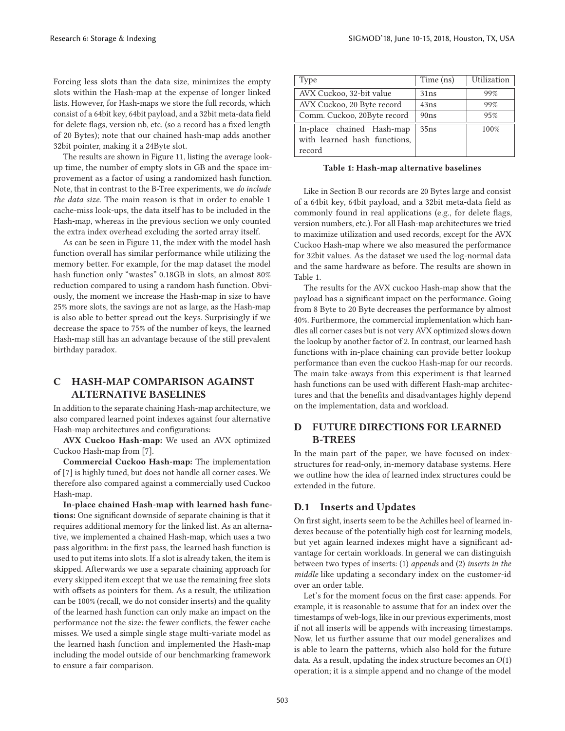Forcing less slots than the data size, minimizes the empty slots within the Hash-map at the expense of longer linked lists. However, for Hash-maps we store the full records, which consist of a 64bit key, 64bit payload, and a 32bit meta-data field for delete flags, version nb, etc. (so a record has a fixed length of 20 Bytes); note that our chained hash-map adds another 32bit pointer, making it a 24Byte slot.

The results are shown in Figure 11, listing the average lookup time, the number of empty slots in GB and the space improvement as a factor of using a randomized hash function. Note, that in contrast to the B-Tree experiments, we *do include the data size*. The main reason is that in order to enable 1 cache-miss look-ups, the data itself has to be included in the Hash-map, whereas in the previous section we only counted the extra index overhead excluding the sorted array itself.

As can be seen in Figure 11, the index with the model hash function overall has similar performance while utilizing the memory better. For example, for the map dataset the model hash function only "wastes" 0.18GB in slots, an almost 80% reduction compared to using a random hash function. Obviously, the moment we increase the Hash-map in size to have 25% more slots, the savings are not as large, as the Hash-map is also able to better spread out the keys. Surprisingly if we decrease the space to 75% of the number of keys, the learned Hash-map still has an advantage because of the still prevalent birthday paradox.

# **C HASH-MAP COMPARISON AGAINST ALTERNATIVE BASELINES**

In addition to the separate chaining Hash-map architecture, we also compared learned point indexes against four alternative Hash-map architectures and configurations:

**AVX Cuckoo Hash-map:** We used an AVX optimized Cuckoo Hash-map from [7].

**Commercial Cuckoo Hash-map:** The implementation of [7] is highly tuned, but does not handle all corner cases. We therefore also compared against a commercially used Cuckoo Hash-map.

**In-place chained Hash-map with learned hash functions:** One significant downside of separate chaining is that it requires additional memory for the linked list. As an alternative, we implemented a chained Hash-map, which uses a two pass algorithm: in the first pass, the learned hash function is used to put items into slots. If a slot is already taken, the item is skipped. Afterwards we use a separate chaining approach for every skipped item except that we use the remaining free slots with offsets as pointers for them. As a result, the utilization can be 100% (recall, we do not consider inserts) and the quality of the learned hash function can only make an impact on the performance not the size: the fewer conflicts, the fewer cache misses. We used a simple single stage multi-variate model as the learned hash function and implemented the Hash-map including the model outside of our benchmarking framework to ensure a fair comparison.

| Type                                                                | Time (ns) | Utilization |
|---------------------------------------------------------------------|-----------|-------------|
| AVX Cuckoo, 32-bit value                                            | 31ns      | 99%         |
| AVX Cuckoo, 20 Byte record                                          | 43ns      | 99%         |
| Comm. Cuckoo, 20Byte record                                         | 90ns      | 95%         |
| In-place chained Hash-map<br>with learned hash functions,<br>record | 35ns      | 100%        |

**Table 1: Hash-map alternative baselines**

Like in Section B our records are 20 Bytes large and consist of a 64bit key, 64bit payload, and a 32bit meta-data field as commonly found in real applications (e.g., for delete flags, version numbers, etc.). For all Hash-map architectures we tried to maximize utilization and used records, except for the AVX Cuckoo Hash-map where we also measured the performance for 32bit values. As the dataset we used the log-normal data and the same hardware as before. The results are shown in Table 1.

The results for the AVX cuckoo Hash-map show that the payload has a significant impact on the performance. Going from 8 Byte to 20 Byte decreases the performance by almost 40%. Furthermore, the commercial implementation which handles all corner cases but is not very AVX optimized slows down the lookup by another factor of 2. In contrast, our learned hash functions with in-place chaining can provide better lookup performance than even the cuckoo Hash-map for our records. The main take-aways from this experiment is that learned hash functions can be used with different Hash-map architectures and that the benefits and disadvantages highly depend on the implementation, data and workload.

# **D FUTURE DIRECTIONS FOR LEARNED B-TREES**

In the main part of the paper, we have focused on indexstructures for read-only, in-memory database systems. Here we outline how the idea of learned index structures could be extended in the future.

## **D.1 Inserts and Updates**

On first sight, inserts seem to be the Achilles heel of learned indexes because of the potentially high cost for learning models, but yet again learned indexes might have a significant advantage for certain workloads. In general we can distinguish between two types of inserts: (1) *appends* and (2) *inserts in the middle* like updating a secondary index on the customer-id over an order table.

Let's for the moment focus on the first case: appends. For example, it is reasonable to assume that for an index over the timestamps of web-logs, like in our previous experiments, most if not all inserts will be appends with increasing timestamps. Now, let us further assume that our model generalizes and is able to learn the patterns, which also hold for the future data. As a result, updating the index structure becomes an  $O(1)$ operation; it is a simple append and no change of the model